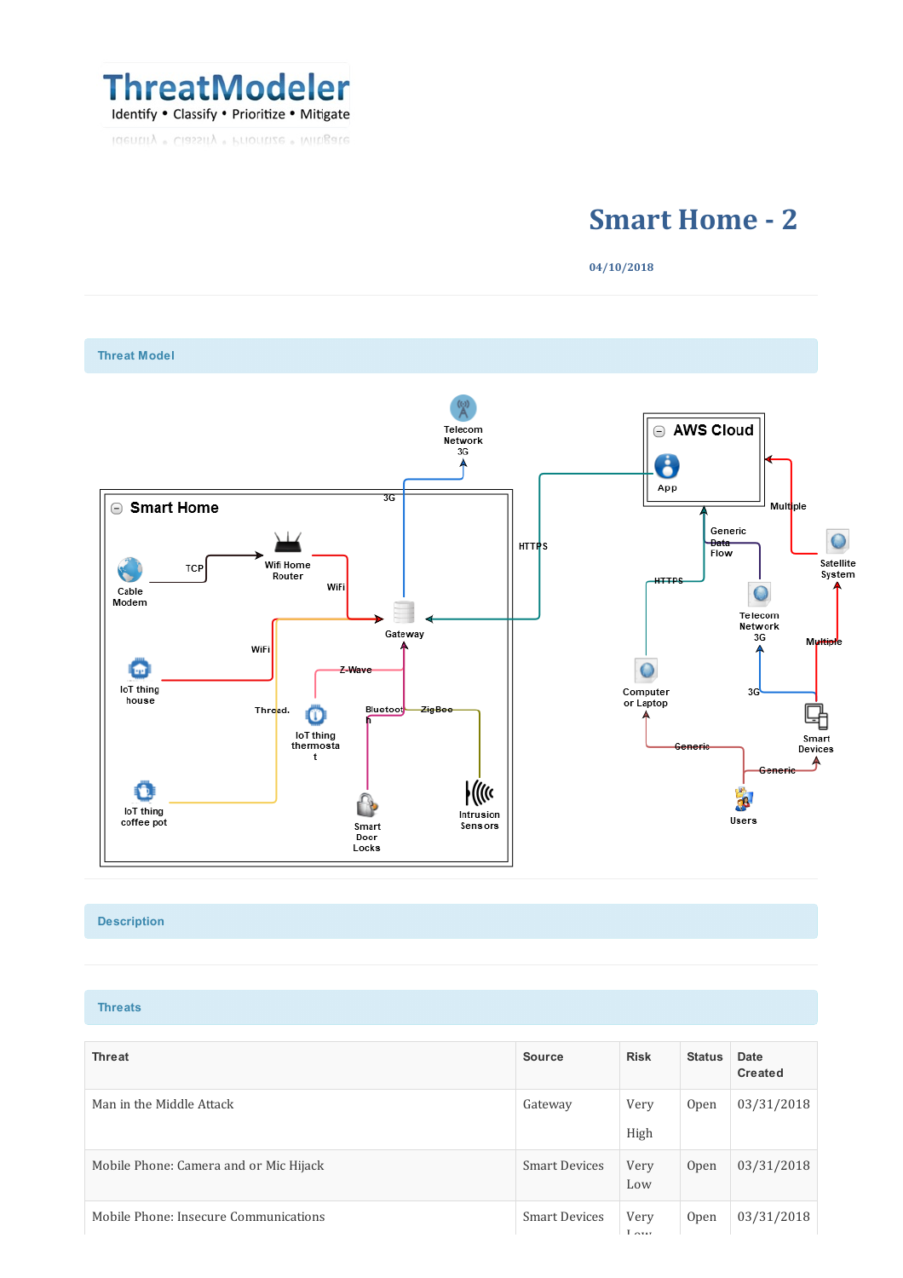

identity · Classity · Prioritize · Mitagate

## **Smart Home - 2**

**04/10/2018**



## **Description**

**Threats**

| <b>Threat</b>                          | <b>Source</b>        | <b>Risk</b>  | <b>Status</b> | Date<br>Created |
|----------------------------------------|----------------------|--------------|---------------|-----------------|
| Man in the Middle Attack               | Gateway              | Very<br>High | Open          | 03/31/2018      |
| Mobile Phone: Camera and or Mic Hijack | <b>Smart Devices</b> | Very<br>Low  | <b>Open</b>   | 03/31/2018      |
| Mobile Phone: Insecure Communications  | <b>Smart Devices</b> | Very         | Open          | 03/31/2018      |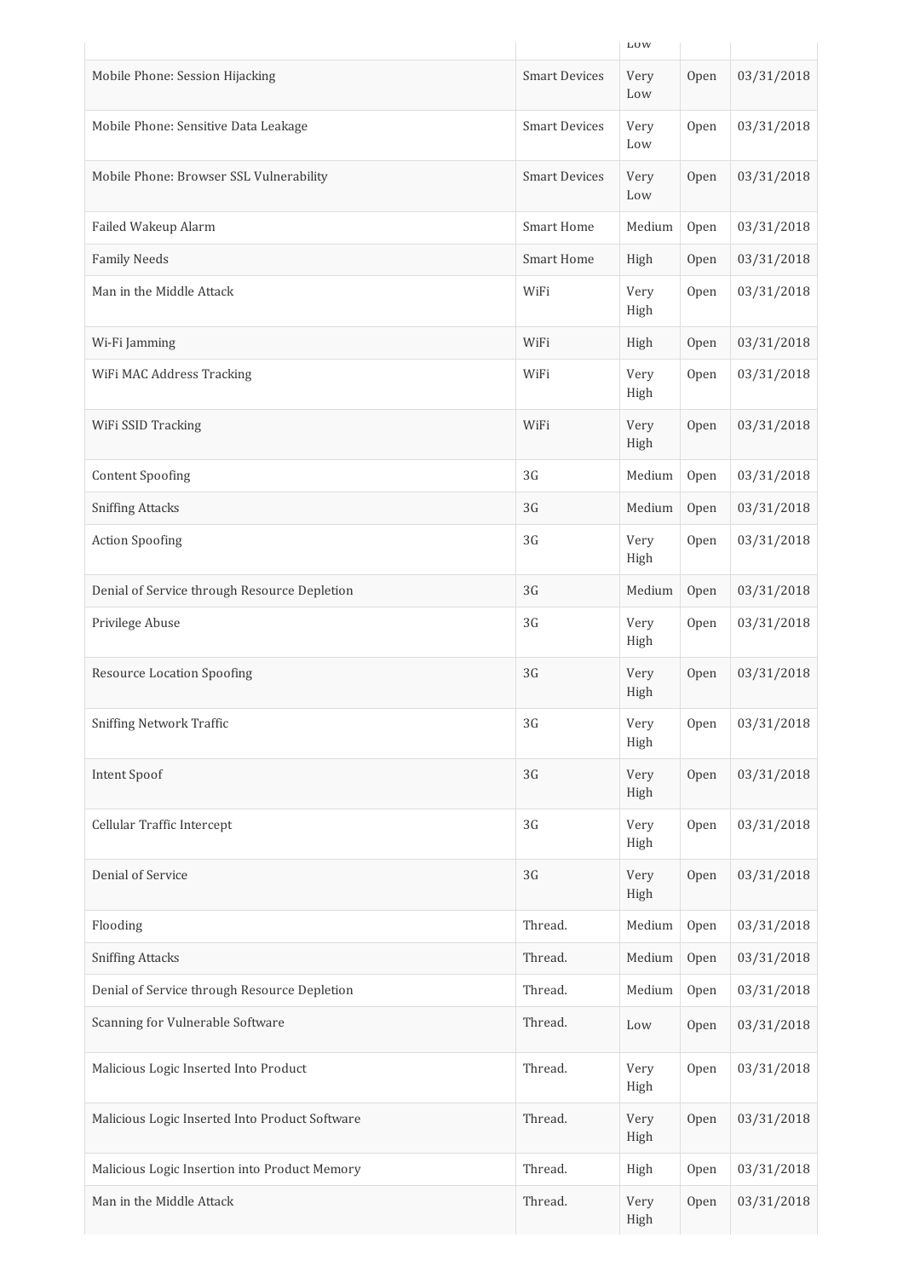|                                                |                      | <b>LUW</b>   |      |            |
|------------------------------------------------|----------------------|--------------|------|------------|
| Mobile Phone: Session Hijacking                | <b>Smart Devices</b> | Very<br>Low  | Open | 03/31/2018 |
| Mobile Phone: Sensitive Data Leakage           | <b>Smart Devices</b> | Very<br>Low  | Open | 03/31/2018 |
| Mobile Phone: Browser SSL Vulnerability        | <b>Smart Devices</b> | Very<br>Low  | Open | 03/31/2018 |
| Failed Wakeup Alarm                            | <b>Smart Home</b>    | Medium       | Open | 03/31/2018 |
| <b>Family Needs</b>                            | <b>Smart Home</b>    | High         | Open | 03/31/2018 |
| Man in the Middle Attack                       | WiFi                 | Very<br>High | Open | 03/31/2018 |
| Wi-Fi Jamming                                  | WiFi                 | High         | Open | 03/31/2018 |
| WiFi MAC Address Tracking                      | WiFi                 | Very<br>High | Open | 03/31/2018 |
| WiFi SSID Tracking                             | WiFi                 | Very<br>High | Open | 03/31/2018 |
| <b>Content Spoofing</b>                        | 3G                   | Medium       | Open | 03/31/2018 |
| <b>Sniffing Attacks</b>                        | 3G                   | Medium       | Open | 03/31/2018 |
| <b>Action Spoofing</b>                         | 3G                   | Very<br>High | Open | 03/31/2018 |
| Denial of Service through Resource Depletion   | 3G                   | Medium       | Open | 03/31/2018 |
| Privilege Abuse                                | 3G                   | Very<br>High | Open | 03/31/2018 |
| <b>Resource Location Spoofing</b>              | 3G                   | Very<br>High | Open | 03/31/2018 |
| <b>Sniffing Network Traffic</b>                | 3G                   | Very<br>High | Open | 03/31/2018 |
| Intent Spoof                                   | 3G                   | Very<br>High | Open | 03/31/2018 |
| Cellular Traffic Intercept                     | 3G                   | Very<br>High | Open | 03/31/2018 |
| Denial of Service                              | 3G                   | Very<br>High | Open | 03/31/2018 |
| Flooding                                       | Thread.              | Medium       | Open | 03/31/2018 |
| <b>Sniffing Attacks</b>                        | Thread.              | Medium       | Open | 03/31/2018 |
| Denial of Service through Resource Depletion   | Thread.              | Medium       | Open | 03/31/2018 |
| Scanning for Vulnerable Software               | Thread.              | Low          | Open | 03/31/2018 |
| Malicious Logic Inserted Into Product          | Thread.              | Very<br>High | Open | 03/31/2018 |
| Malicious Logic Inserted Into Product Software | Thread.              | Very<br>High | Open | 03/31/2018 |
| Malicious Logic Insertion into Product Memory  | Thread.              | High         | Open | 03/31/2018 |
| Man in the Middle Attack                       | Thread.              | Very<br>High | Open | 03/31/2018 |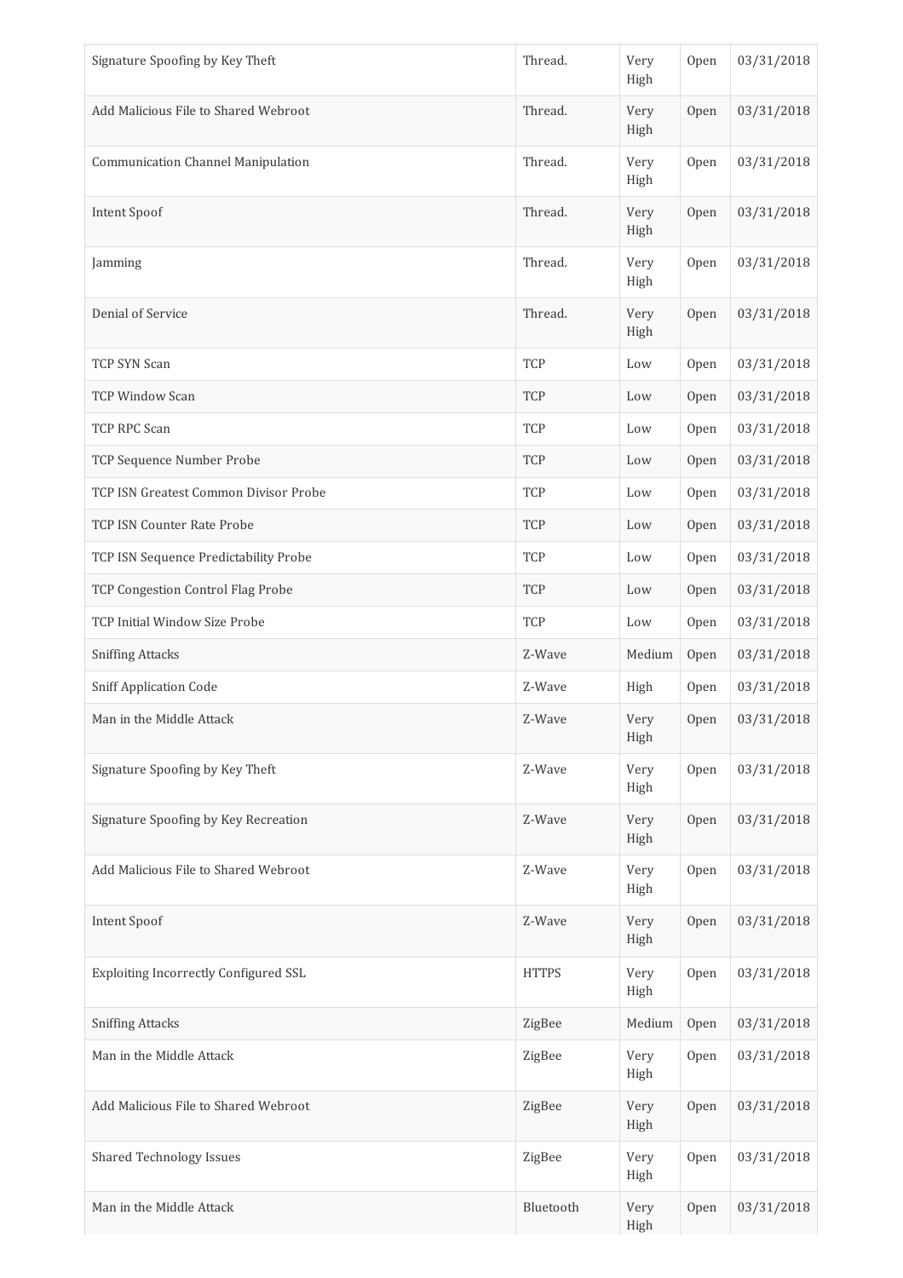| Signature Spoofing by Key Theft           | Thread.      | Very<br>High | Open | 03/31/2018 |
|-------------------------------------------|--------------|--------------|------|------------|
| Add Malicious File to Shared Webroot      | Thread.      | Very<br>High | Open | 03/31/2018 |
| <b>Communication Channel Manipulation</b> | Thread.      | Very<br>High | Open | 03/31/2018 |
| Intent Spoof                              | Thread.      | Very<br>High | Open | 03/31/2018 |
| Jamming                                   | Thread.      | Very<br>High | Open | 03/31/2018 |
| Denial of Service                         | Thread.      | Very<br>High | Open | 03/31/2018 |
| TCP SYN Scan                              | TCP          | Low          | Open | 03/31/2018 |
| <b>TCP Window Scan</b>                    | TCP          | Low          | Open | 03/31/2018 |
| TCP RPC Scan                              | TCP          | Low          | Open | 03/31/2018 |
| TCP Sequence Number Probe                 | <b>TCP</b>   | Low          | Open | 03/31/2018 |
| TCP ISN Greatest Common Divisor Probe     | <b>TCP</b>   | Low          | Open | 03/31/2018 |
| TCP ISN Counter Rate Probe                | <b>TCP</b>   | Low          | Open | 03/31/2018 |
| TCP ISN Sequence Predictability Probe     | TCP          | Low          | Open | 03/31/2018 |
| TCP Congestion Control Flag Probe         | TCP          | Low          | Open | 03/31/2018 |
| TCP Initial Window Size Probe             | TCP          | Low          | Open | 03/31/2018 |
| <b>Sniffing Attacks</b>                   | Z-Wave       | Medium       | Open | 03/31/2018 |
| <b>Sniff Application Code</b>             | Z-Wave       | High         | Open | 03/31/2018 |
| Man in the Middle Attack                  | Z-Wave       | Very<br>High | Open | 03/31/2018 |
| Signature Spoofing by Key Theft           | Z-Wave       | Very<br>High | Open | 03/31/2018 |
| Signature Spoofing by Key Recreation      | Z-Wave       | Very<br>High | Open | 03/31/2018 |
| Add Malicious File to Shared Webroot      | Z-Wave       | Very<br>High | Open | 03/31/2018 |
| Intent Spoof                              | Z-Wave       | Very<br>High | Open | 03/31/2018 |
| Exploiting Incorrectly Configured SSL     | <b>HTTPS</b> | Very<br>High | Open | 03/31/2018 |
| <b>Sniffing Attacks</b>                   | ZigBee       | Medium       | Open | 03/31/2018 |
| Man in the Middle Attack                  | ZigBee       | Very<br>High | Open | 03/31/2018 |
| Add Malicious File to Shared Webroot      | ZigBee       | Very<br>High | Open | 03/31/2018 |
| <b>Shared Technology Issues</b>           | ZigBee       | Very<br>High | Open | 03/31/2018 |
| Man in the Middle Attack                  | Bluetooth    | Very<br>High | Open | 03/31/2018 |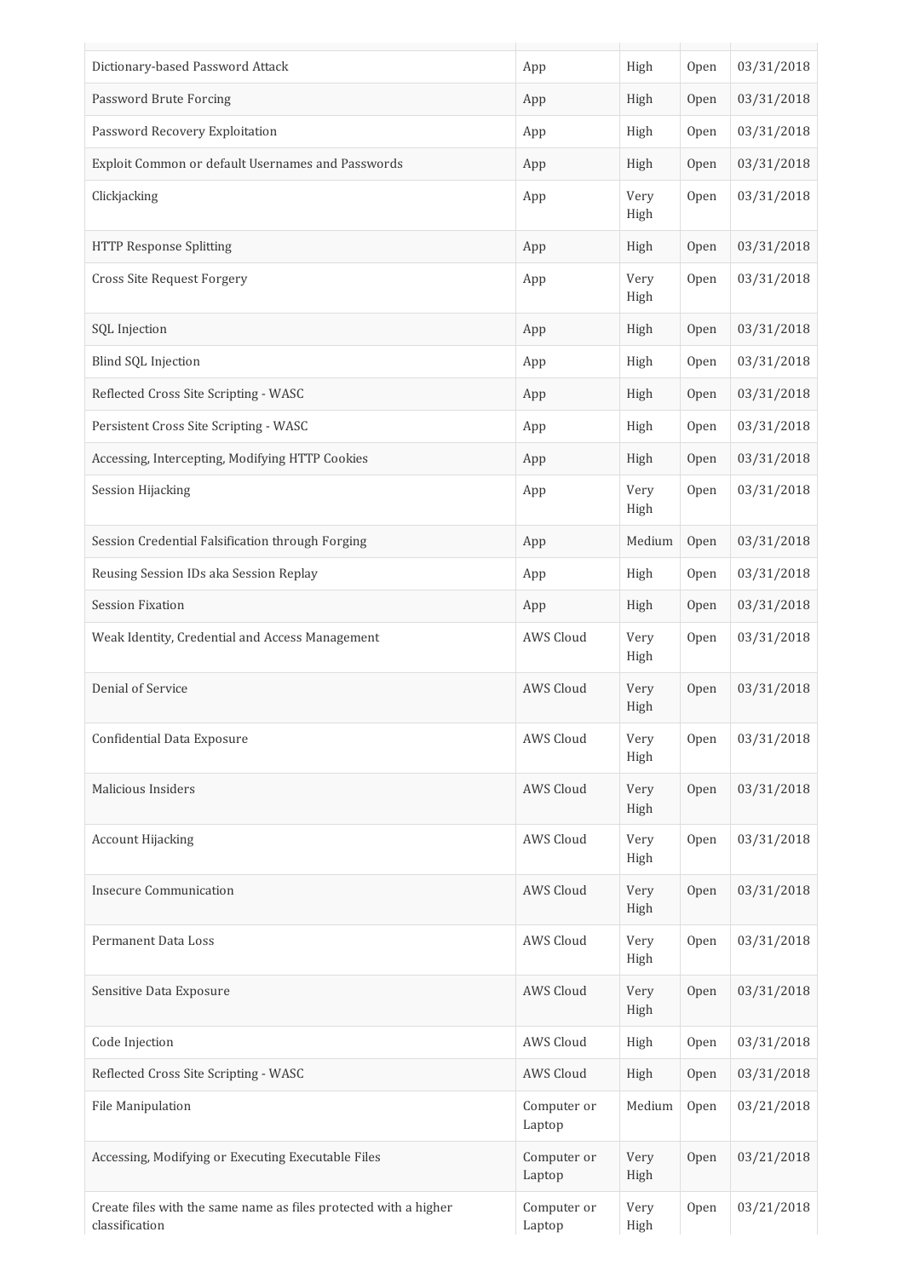| Dictionary-based Password Attack                                                   | App                   | High         | Open | 03/31/2018 |
|------------------------------------------------------------------------------------|-----------------------|--------------|------|------------|
| Password Brute Forcing                                                             | App                   | High         | Open | 03/31/2018 |
| Password Recovery Exploitation                                                     | App                   | High         | Open | 03/31/2018 |
| Exploit Common or default Usernames and Passwords                                  | App                   | High         | Open | 03/31/2018 |
| Clickjacking                                                                       | App                   | Very<br>High | Open | 03/31/2018 |
| <b>HTTP Response Splitting</b>                                                     | App                   | High         | Open | 03/31/2018 |
| Cross Site Request Forgery                                                         | App                   | Very<br>High | Open | 03/31/2018 |
| SQL Injection                                                                      | App                   | High         | Open | 03/31/2018 |
| Blind SQL Injection                                                                | App                   | High         | Open | 03/31/2018 |
| Reflected Cross Site Scripting - WASC                                              | App                   | High         | Open | 03/31/2018 |
| Persistent Cross Site Scripting - WASC                                             | App                   | High         | Open | 03/31/2018 |
| Accessing, Intercepting, Modifying HTTP Cookies                                    | App                   | High         | Open | 03/31/2018 |
| <b>Session Hijacking</b>                                                           | App                   | Very<br>High | Open | 03/31/2018 |
| Session Credential Falsification through Forging                                   | App                   | Medium       | Open | 03/31/2018 |
| Reusing Session IDs aka Session Replay                                             | App                   | High         | Open | 03/31/2018 |
| <b>Session Fixation</b>                                                            | App                   | High         | Open | 03/31/2018 |
| Weak Identity, Credential and Access Management                                    | AWS Cloud             | Very<br>High | Open | 03/31/2018 |
| Denial of Service                                                                  | AWS Cloud             | Very<br>High | Open | 03/31/2018 |
| Confidential Data Exposure                                                         | AWS Cloud             | Very<br>High | Open | 03/31/2018 |
| Malicious Insiders                                                                 | AWS Cloud             | Very<br>High | Open | 03/31/2018 |
| <b>Account Hijacking</b>                                                           | AWS Cloud             | Very<br>High | Open | 03/31/2018 |
| <b>Insecure Communication</b>                                                      | AWS Cloud             | Very<br>High | Open | 03/31/2018 |
| Permanent Data Loss                                                                | AWS Cloud             | Very<br>High | Open | 03/31/2018 |
| Sensitive Data Exposure                                                            | AWS Cloud             | Very<br>High | Open | 03/31/2018 |
| Code Injection                                                                     | AWS Cloud             | High         | Open | 03/31/2018 |
| Reflected Cross Site Scripting - WASC                                              | AWS Cloud             | High         | Open | 03/31/2018 |
| File Manipulation                                                                  | Computer or<br>Laptop | Medium       | Open | 03/21/2018 |
| Accessing, Modifying or Executing Executable Files                                 | Computer or<br>Laptop | Very<br>High | Open | 03/21/2018 |
| Create files with the same name as files protected with a higher<br>classification | Computer or<br>Laptop | Very<br>High | Open | 03/21/2018 |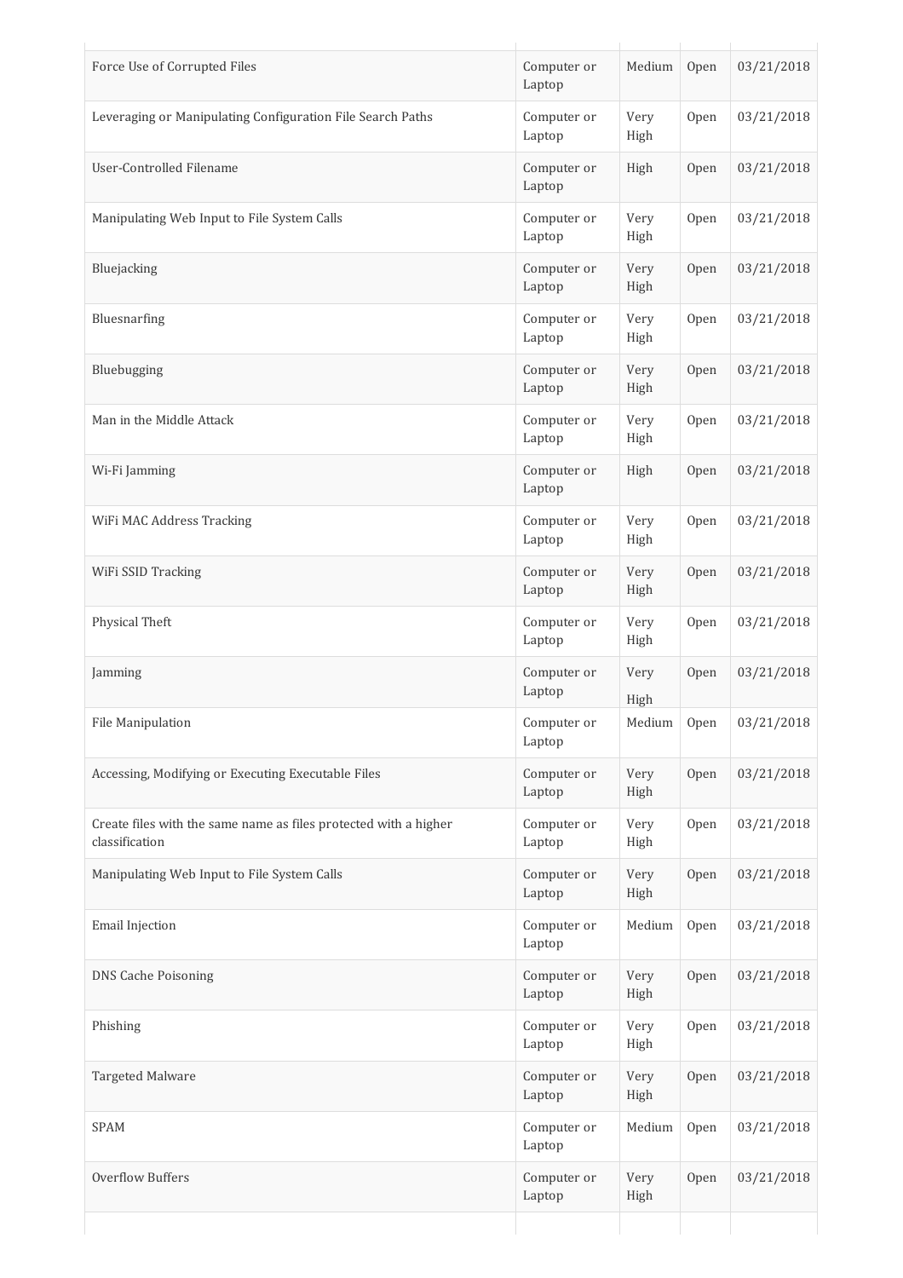| Force Use of Corrupted Files                                                       | Computer or<br>Laptop | Medium       | Open | 03/21/2018 |
|------------------------------------------------------------------------------------|-----------------------|--------------|------|------------|
| Leveraging or Manipulating Configuration File Search Paths                         | Computer or<br>Laptop | Very<br>High | Open | 03/21/2018 |
| User-Controlled Filename                                                           | Computer or<br>Laptop | High         | Open | 03/21/2018 |
| Manipulating Web Input to File System Calls                                        | Computer or<br>Laptop | Very<br>High | Open | 03/21/2018 |
| Bluejacking                                                                        | Computer or<br>Laptop | Very<br>High | Open | 03/21/2018 |
| Bluesnarfing                                                                       | Computer or<br>Laptop | Very<br>High | Open | 03/21/2018 |
| Bluebugging                                                                        | Computer or<br>Laptop | Very<br>High | Open | 03/21/2018 |
| Man in the Middle Attack                                                           | Computer or<br>Laptop | Very<br>High | Open | 03/21/2018 |
| Wi-Fi Jamming                                                                      | Computer or<br>Laptop | High         | Open | 03/21/2018 |
| WiFi MAC Address Tracking                                                          | Computer or<br>Laptop | Very<br>High | Open | 03/21/2018 |
| WiFi SSID Tracking                                                                 | Computer or<br>Laptop | Very<br>High | Open | 03/21/2018 |
| Physical Theft                                                                     | Computer or<br>Laptop | Very<br>High | Open | 03/21/2018 |
| Jamming                                                                            | Computer or<br>Laptop | Very<br>High | Open | 03/21/2018 |
| File Manipulation                                                                  | Computer or<br>Laptop | Medium       | Open | 03/21/2018 |
| Accessing, Modifying or Executing Executable Files                                 | Computer or<br>Laptop | Very<br>High | Open | 03/21/2018 |
| Create files with the same name as files protected with a higher<br>classification | Computer or<br>Laptop | Very<br>High | Open | 03/21/2018 |
| Manipulating Web Input to File System Calls                                        | Computer or<br>Laptop | Very<br>High | Open | 03/21/2018 |
| Email Injection                                                                    | Computer or<br>Laptop | Medium       | Open | 03/21/2018 |
| <b>DNS Cache Poisoning</b>                                                         | Computer or<br>Laptop | Very<br>High | Open | 03/21/2018 |
| Phishing                                                                           | Computer or<br>Laptop | Very<br>High | Open | 03/21/2018 |
| Targeted Malware                                                                   | Computer or<br>Laptop | Very<br>High | Open | 03/21/2018 |
| <b>SPAM</b>                                                                        | Computer or<br>Laptop | Medium       | Open | 03/21/2018 |
| Overflow Buffers                                                                   | Computer or<br>Laptop | Very<br>High | Open | 03/21/2018 |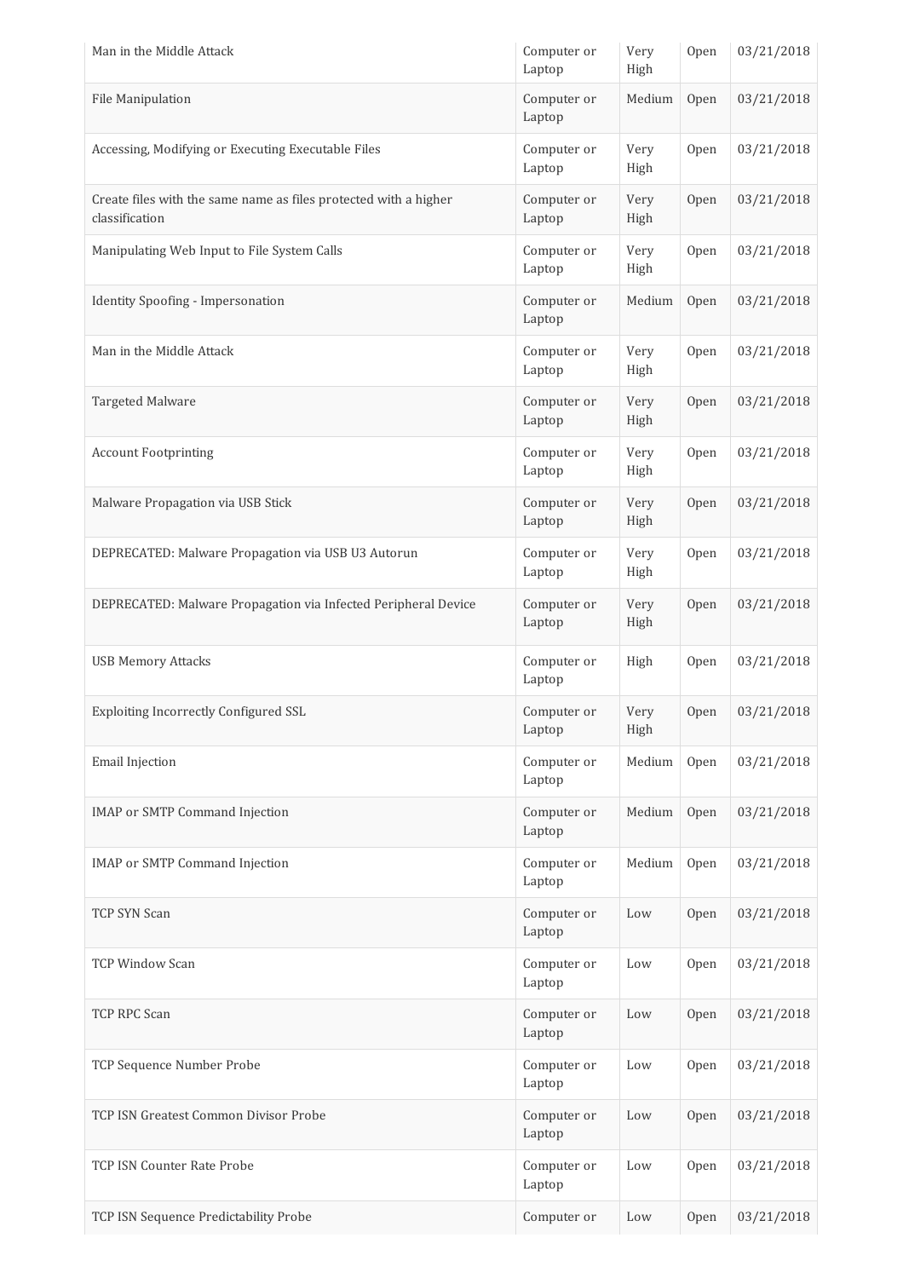| Man in the Middle Attack                                                           | Computer or<br>Laptop | Very<br>High | Open | 03/21/2018 |
|------------------------------------------------------------------------------------|-----------------------|--------------|------|------------|
| File Manipulation                                                                  | Computer or<br>Laptop | Medium       | Open | 03/21/2018 |
| Accessing, Modifying or Executing Executable Files                                 | Computer or<br>Laptop | Very<br>High | Open | 03/21/2018 |
| Create files with the same name as files protected with a higher<br>classification | Computer or<br>Laptop | Very<br>High | Open | 03/21/2018 |
| Manipulating Web Input to File System Calls                                        | Computer or<br>Laptop | Very<br>High | Open | 03/21/2018 |
| Identity Spoofing - Impersonation                                                  | Computer or<br>Laptop | Medium       | Open | 03/21/2018 |
| Man in the Middle Attack                                                           | Computer or<br>Laptop | Very<br>High | Open | 03/21/2018 |
| <b>Targeted Malware</b>                                                            | Computer or<br>Laptop | Very<br>High | Open | 03/21/2018 |
| <b>Account Footprinting</b>                                                        | Computer or<br>Laptop | Very<br>High | Open | 03/21/2018 |
| Malware Propagation via USB Stick                                                  | Computer or<br>Laptop | Very<br>High | Open | 03/21/2018 |
| DEPRECATED: Malware Propagation via USB U3 Autorun                                 | Computer or<br>Laptop | Very<br>High | Open | 03/21/2018 |
| DEPRECATED: Malware Propagation via Infected Peripheral Device                     | Computer or<br>Laptop | Very<br>High | Open | 03/21/2018 |
| <b>USB Memory Attacks</b>                                                          | Computer or<br>Laptop | High         | Open | 03/21/2018 |
| Exploiting Incorrectly Configured SSL                                              | Computer or<br>Laptop | Very<br>High | Open | 03/21/2018 |
| <b>Email Injection</b>                                                             | Computer or<br>Laptop | Medium       | Open | 03/21/2018 |
| <b>IMAP or SMTP Command Injection</b>                                              | Computer or<br>Laptop | Medium       | Open | 03/21/2018 |
| <b>IMAP</b> or SMTP Command Injection                                              | Computer or<br>Laptop | Medium       | Open | 03/21/2018 |
| TCP SYN Scan                                                                       | Computer or<br>Laptop | Low          | Open | 03/21/2018 |
| <b>TCP Window Scan</b>                                                             | Computer or<br>Laptop | Low          | Open | 03/21/2018 |
| TCP RPC Scan                                                                       | Computer or<br>Laptop | Low          | Open | 03/21/2018 |
| TCP Sequence Number Probe                                                          | Computer or<br>Laptop | Low          | Open | 03/21/2018 |
| TCP ISN Greatest Common Divisor Probe                                              | Computer or<br>Laptop | Low          | Open | 03/21/2018 |
| TCP ISN Counter Rate Probe                                                         | Computer or<br>Laptop | Low          | Open | 03/21/2018 |
| TCP ISN Sequence Predictability Probe                                              | Computer or           | Low          | Open | 03/21/2018 |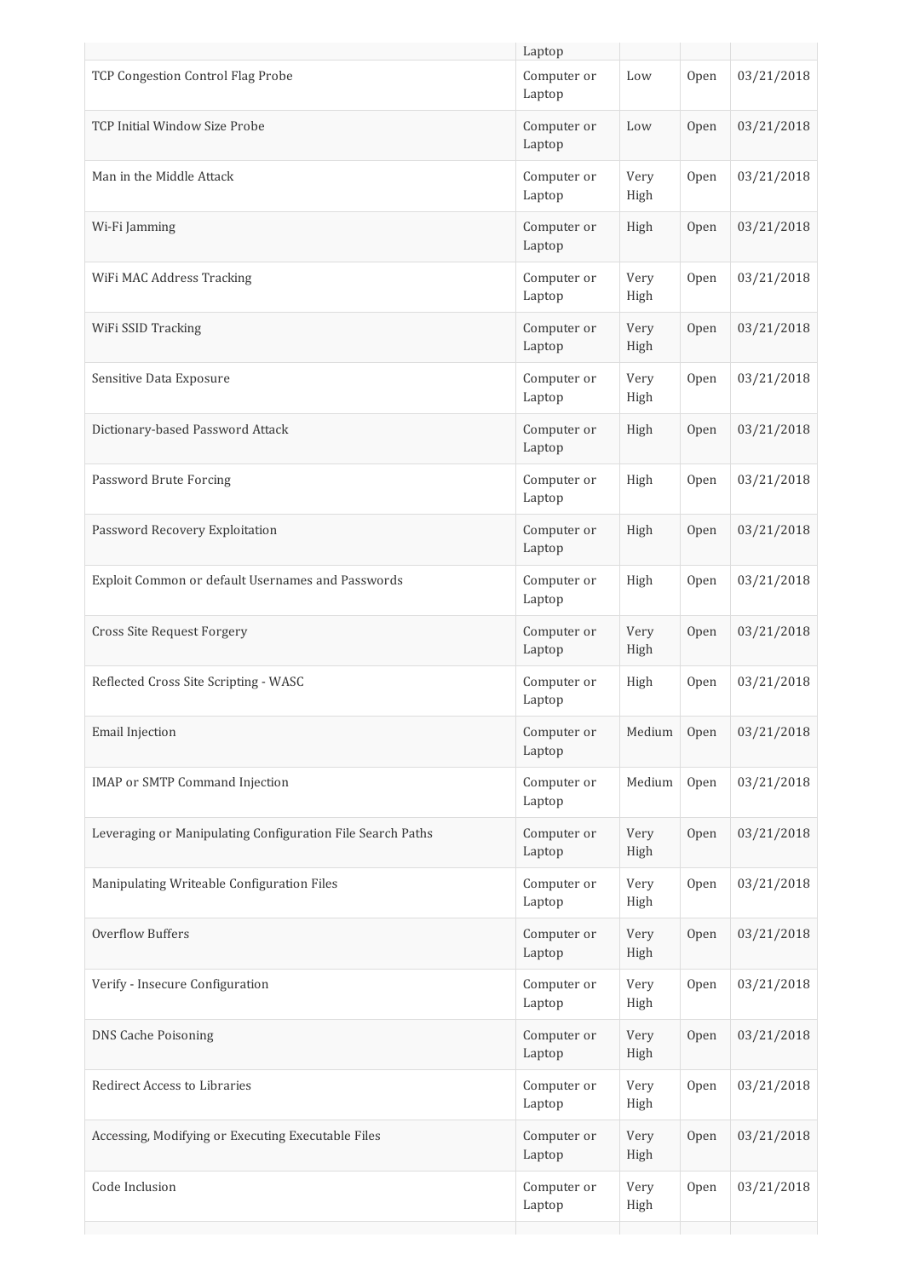|                                                            | Laptop                |              |      |            |
|------------------------------------------------------------|-----------------------|--------------|------|------------|
| TCP Congestion Control Flag Probe                          | Computer or<br>Laptop | Low          | Open | 03/21/2018 |
| TCP Initial Window Size Probe                              | Computer or<br>Laptop | Low          | Open | 03/21/2018 |
| Man in the Middle Attack                                   | Computer or<br>Laptop | Very<br>High | Open | 03/21/2018 |
| Wi-Fi Jamming                                              | Computer or<br>Laptop | High         | Open | 03/21/2018 |
| WiFi MAC Address Tracking                                  | Computer or<br>Laptop | Very<br>High | Open | 03/21/2018 |
| WiFi SSID Tracking                                         | Computer or<br>Laptop | Very<br>High | Open | 03/21/2018 |
| Sensitive Data Exposure                                    | Computer or<br>Laptop | Very<br>High | Open | 03/21/2018 |
| Dictionary-based Password Attack                           | Computer or<br>Laptop | High         | Open | 03/21/2018 |
| Password Brute Forcing                                     | Computer or<br>Laptop | High         | Open | 03/21/2018 |
| Password Recovery Exploitation                             | Computer or<br>Laptop | High         | Open | 03/21/2018 |
| Exploit Common or default Usernames and Passwords          | Computer or<br>Laptop | High         | Open | 03/21/2018 |
| <b>Cross Site Request Forgery</b>                          | Computer or<br>Laptop | Very<br>High | Open | 03/21/2018 |
| Reflected Cross Site Scripting - WASC                      | Computer or<br>Laptop | High         | Open | 03/21/2018 |
| Email Injection                                            | Computer or<br>Laptop | Medium       | Open | 03/21/2018 |
| IMAP or SMTP Command Injection                             | Computer or<br>Laptop | Medium       | Open | 03/21/2018 |
| Leveraging or Manipulating Configuration File Search Paths | Computer or<br>Laptop | Very<br>High | Open | 03/21/2018 |
| Manipulating Writeable Configuration Files                 | Computer or<br>Laptop | Very<br>High | Open | 03/21/2018 |
| <b>Overflow Buffers</b>                                    | Computer or<br>Laptop | Very<br>High | Open | 03/21/2018 |
| Verify - Insecure Configuration                            | Computer or<br>Laptop | Very<br>High | Open | 03/21/2018 |
| <b>DNS Cache Poisoning</b>                                 | Computer or<br>Laptop | Very<br>High | Open | 03/21/2018 |
| Redirect Access to Libraries                               | Computer or<br>Laptop | Very<br>High | Open | 03/21/2018 |
| Accessing, Modifying or Executing Executable Files         | Computer or<br>Laptop | Very<br>High | Open | 03/21/2018 |
| Code Inclusion                                             | Computer or<br>Laptop | Very<br>High | Open | 03/21/2018 |
|                                                            |                       |              |      |            |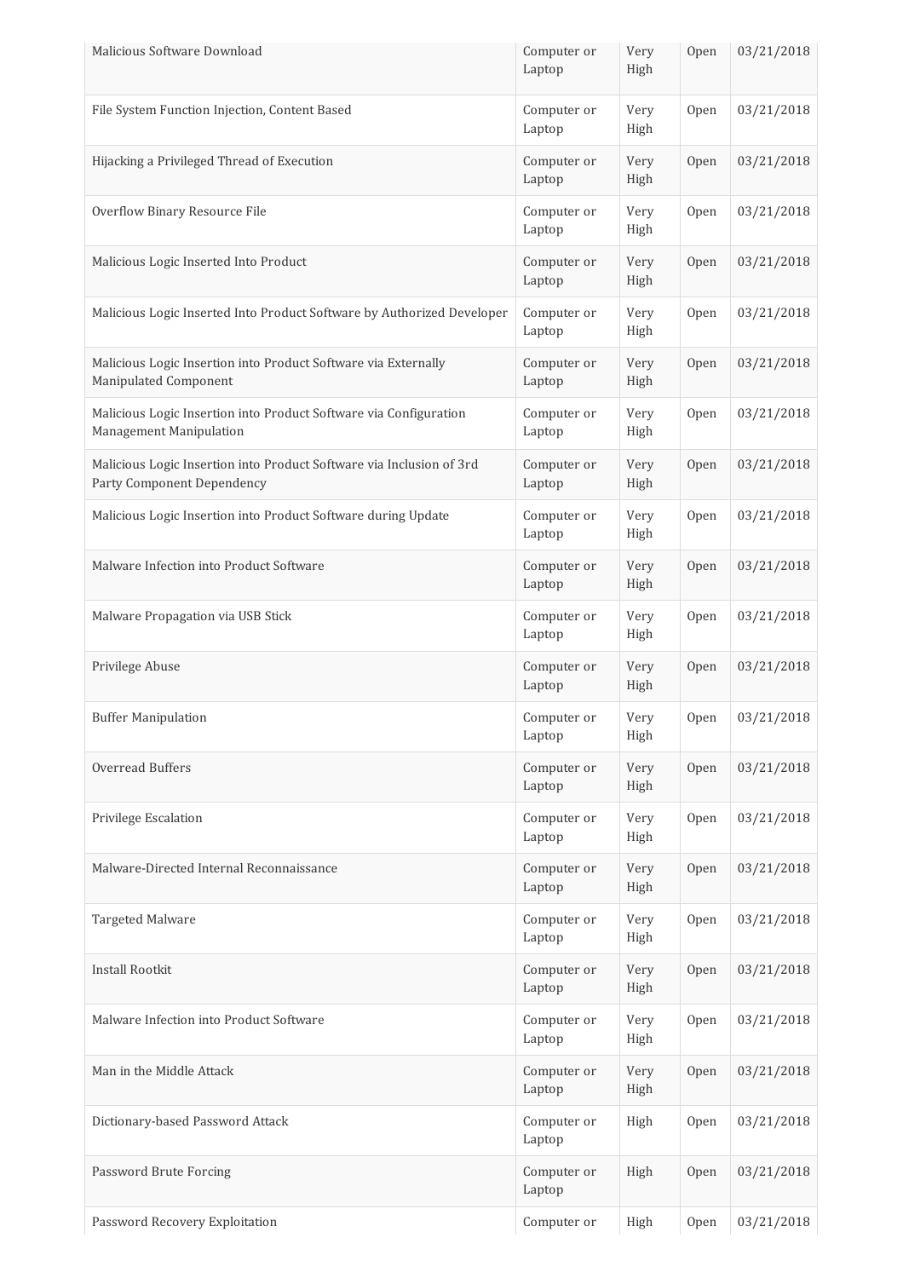| Malicious Software Download                                                                        | Computer or<br>Laptop | Very<br>High | Open | 03/21/2018 |
|----------------------------------------------------------------------------------------------------|-----------------------|--------------|------|------------|
| File System Function Injection, Content Based                                                      | Computer or<br>Laptop | Very<br>High | Open | 03/21/2018 |
| Hijacking a Privileged Thread of Execution                                                         | Computer or<br>Laptop | Very<br>High | Open | 03/21/2018 |
| Overflow Binary Resource File                                                                      | Computer or<br>Laptop | Very<br>High | Open | 03/21/2018 |
| Malicious Logic Inserted Into Product                                                              | Computer or<br>Laptop | Very<br>High | Open | 03/21/2018 |
| Malicious Logic Inserted Into Product Software by Authorized Developer                             | Computer or<br>Laptop | Very<br>High | Open | 03/21/2018 |
| Malicious Logic Insertion into Product Software via Externally<br>Manipulated Component            | Computer or<br>Laptop | Very<br>High | Open | 03/21/2018 |
| Malicious Logic Insertion into Product Software via Configuration<br>Management Manipulation       | Computer or<br>Laptop | Very<br>High | Open | 03/21/2018 |
| Malicious Logic Insertion into Product Software via Inclusion of 3rd<br>Party Component Dependency | Computer or<br>Laptop | Very<br>High | Open | 03/21/2018 |
| Malicious Logic Insertion into Product Software during Update                                      | Computer or<br>Laptop | Very<br>High | Open | 03/21/2018 |
| Malware Infection into Product Software                                                            | Computer or<br>Laptop | Very<br>High | Open | 03/21/2018 |
| Malware Propagation via USB Stick                                                                  | Computer or<br>Laptop | Very<br>High | Open | 03/21/2018 |
| Privilege Abuse                                                                                    | Computer or<br>Laptop | Very<br>High | Open | 03/21/2018 |
| <b>Buffer Manipulation</b>                                                                         | Computer or<br>Laptop | Very<br>High | Open | 03/21/2018 |
| Overread Buffers                                                                                   | Computer or<br>Laptop | Very<br>High | Open | 03/21/2018 |
| Privilege Escalation                                                                               | Computer or<br>Laptop | Very<br>High | Open | 03/21/2018 |
| Malware-Directed Internal Reconnaissance                                                           | Computer or<br>Laptop | Very<br>High | Open | 03/21/2018 |
| Targeted Malware                                                                                   | Computer or<br>Laptop | Very<br>High | Open | 03/21/2018 |
| <b>Install Rootkit</b>                                                                             | Computer or<br>Laptop | Very<br>High | Open | 03/21/2018 |
| Malware Infection into Product Software                                                            | Computer or<br>Laptop | Very<br>High | Open | 03/21/2018 |
| Man in the Middle Attack                                                                           | Computer or<br>Laptop | Very<br>High | Open | 03/21/2018 |
| Dictionary-based Password Attack                                                                   | Computer or<br>Laptop | High         | Open | 03/21/2018 |
| Password Brute Forcing                                                                             | Computer or<br>Laptop | High         | Open | 03/21/2018 |
| Password Recovery Exploitation                                                                     | Computer or           | High         | Open | 03/21/2018 |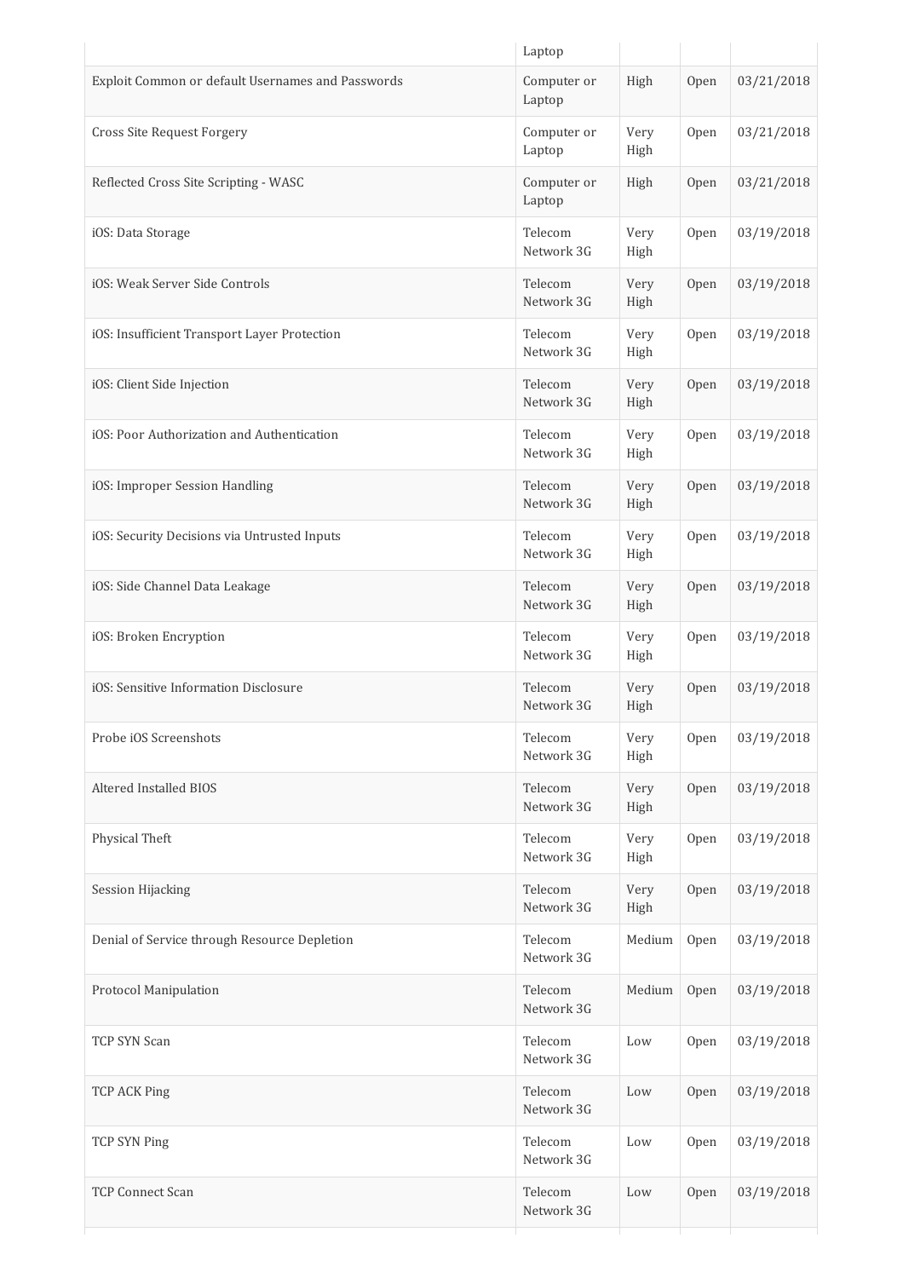|                                                   | Laptop                |              |      |            |
|---------------------------------------------------|-----------------------|--------------|------|------------|
| Exploit Common or default Usernames and Passwords | Computer or<br>Laptop | High         | Open | 03/21/2018 |
| Cross Site Request Forgery                        | Computer or<br>Laptop | Very<br>High | Open | 03/21/2018 |
| Reflected Cross Site Scripting - WASC             | Computer or<br>Laptop | High         | Open | 03/21/2018 |
| iOS: Data Storage                                 | Telecom<br>Network 3G | Very<br>High | Open | 03/19/2018 |
| iOS: Weak Server Side Controls                    | Telecom<br>Network 3G | Very<br>High | Open | 03/19/2018 |
| iOS: Insufficient Transport Layer Protection      | Telecom<br>Network 3G | Very<br>High | Open | 03/19/2018 |
| iOS: Client Side Injection                        | Telecom<br>Network 3G | Very<br>High | Open | 03/19/2018 |
| iOS: Poor Authorization and Authentication        | Telecom<br>Network 3G | Very<br>High | Open | 03/19/2018 |
| iOS: Improper Session Handling                    | Telecom<br>Network 3G | Very<br>High | Open | 03/19/2018 |
| iOS: Security Decisions via Untrusted Inputs      | Telecom<br>Network 3G | Very<br>High | Open | 03/19/2018 |
| iOS: Side Channel Data Leakage                    | Telecom<br>Network 3G | Very<br>High | Open | 03/19/2018 |
| iOS: Broken Encryption                            | Telecom<br>Network 3G | Very<br>High | Open | 03/19/2018 |
| iOS: Sensitive Information Disclosure             | Telecom<br>Network 3G | Very<br>High | Open | 03/19/2018 |
| Probe iOS Screenshots                             | Telecom<br>Network 3G | Very<br>High | Open | 03/19/2018 |
| Altered Installed BIOS                            | Telecom<br>Network 3G | Very<br>High | Open | 03/19/2018 |
| Physical Theft                                    | Telecom<br>Network 3G | Very<br>High | Open | 03/19/2018 |
| Session Hijacking                                 | Telecom<br>Network 3G | Very<br>High | Open | 03/19/2018 |
| Denial of Service through Resource Depletion      | Telecom<br>Network 3G | Medium       | Open | 03/19/2018 |
| Protocol Manipulation                             | Telecom<br>Network 3G | Medium       | Open | 03/19/2018 |
| TCP SYN Scan                                      | Telecom<br>Network 3G | Low          | Open | 03/19/2018 |
| <b>TCP ACK Ping</b>                               | Telecom<br>Network 3G | Low          | Open | 03/19/2018 |
| TCP SYN Ping                                      | Telecom<br>Network 3G | Low          | Open | 03/19/2018 |
| <b>TCP Connect Scan</b>                           | Telecom<br>Network 3G | Low          | Open | 03/19/2018 |
|                                                   |                       |              |      |            |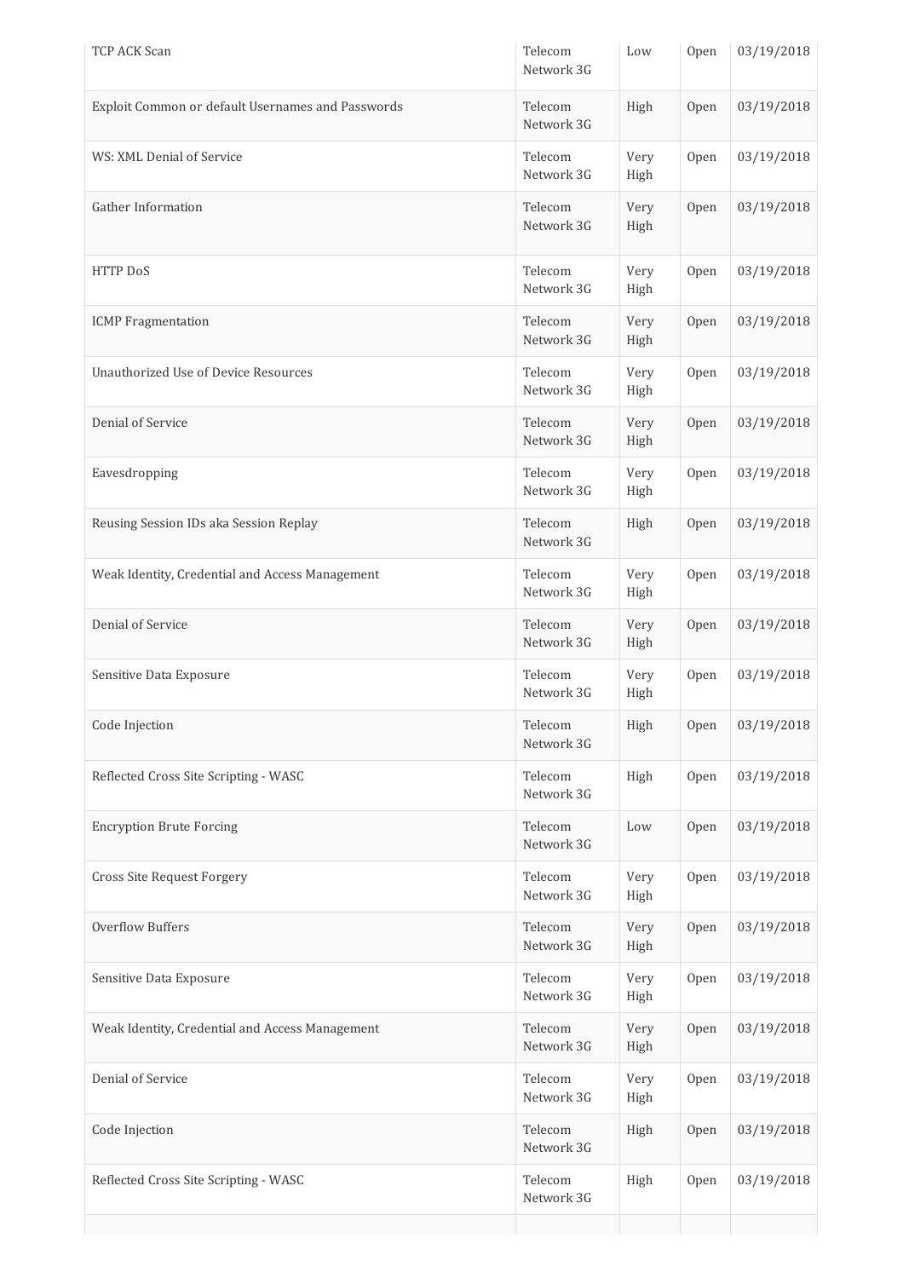| <b>TCP ACK Scan</b>                               | Telecom<br>Network 3G | Low             | Open | 03/19/2018 |
|---------------------------------------------------|-----------------------|-----------------|------|------------|
| Exploit Common or default Usernames and Passwords | Telecom<br>Network 3G | High            | Open | 03/19/2018 |
| WS: XML Denial of Service                         | Telecom<br>Network 3G | Very<br>High    | Open | 03/19/2018 |
| Gather Information                                | Telecom<br>Network 3G | Very<br>High    | Open | 03/19/2018 |
| <b>HTTP DoS</b>                                   | Telecom<br>Network 3G | Very<br>High    | Open | 03/19/2018 |
| <b>ICMP</b> Fragmentation                         | Telecom<br>Network 3G | Very<br>High    | Open | 03/19/2018 |
| <b>Unauthorized Use of Device Resources</b>       | Telecom<br>Network 3G | Very<br>High    | Open | 03/19/2018 |
| Denial of Service                                 | Telecom<br>Network 3G | Very<br>High    | Open | 03/19/2018 |
| Eavesdropping                                     | Telecom<br>Network 3G | Very<br>High    | Open | 03/19/2018 |
| Reusing Session IDs aka Session Replay            | Telecom<br>Network 3G | High            | Open | 03/19/2018 |
| Weak Identity, Credential and Access Management   | Telecom<br>Network 3G | Very<br>High    | Open | 03/19/2018 |
| Denial of Service                                 | Telecom<br>Network 3G | Very<br>High    | Open | 03/19/2018 |
| Sensitive Data Exposure                           | Telecom<br>Network 3G | Very<br>High    | Open | 03/19/2018 |
| Code Injection                                    | Telecom<br>Network 3G | High            | Open | 03/19/2018 |
| Reflected Cross Site Scripting - WASC             | Telecom<br>Network 3G | High            | Open | 03/19/2018 |
| <b>Encryption Brute Forcing</b>                   | Telecom<br>Network 3G | $_{\text{Low}}$ | Open | 03/19/2018 |
| <b>Cross Site Request Forgery</b>                 | Telecom<br>Network 3G | Very<br>High    | Open | 03/19/2018 |
| <b>Overflow Buffers</b>                           | Telecom<br>Network 3G | Very<br>High    | Open | 03/19/2018 |
| Sensitive Data Exposure                           | Telecom<br>Network 3G | Very<br>High    | Open | 03/19/2018 |
| Weak Identity, Credential and Access Management   | Telecom<br>Network 3G | Very<br>High    | Open | 03/19/2018 |
| Denial of Service                                 | Telecom<br>Network 3G | Very<br>High    | Open | 03/19/2018 |
| Code Injection                                    | Telecom<br>Network 3G | High            | Open | 03/19/2018 |
| Reflected Cross Site Scripting - WASC             | Telecom<br>Network 3G | High            | Open | 03/19/2018 |
|                                                   |                       |                 |      |            |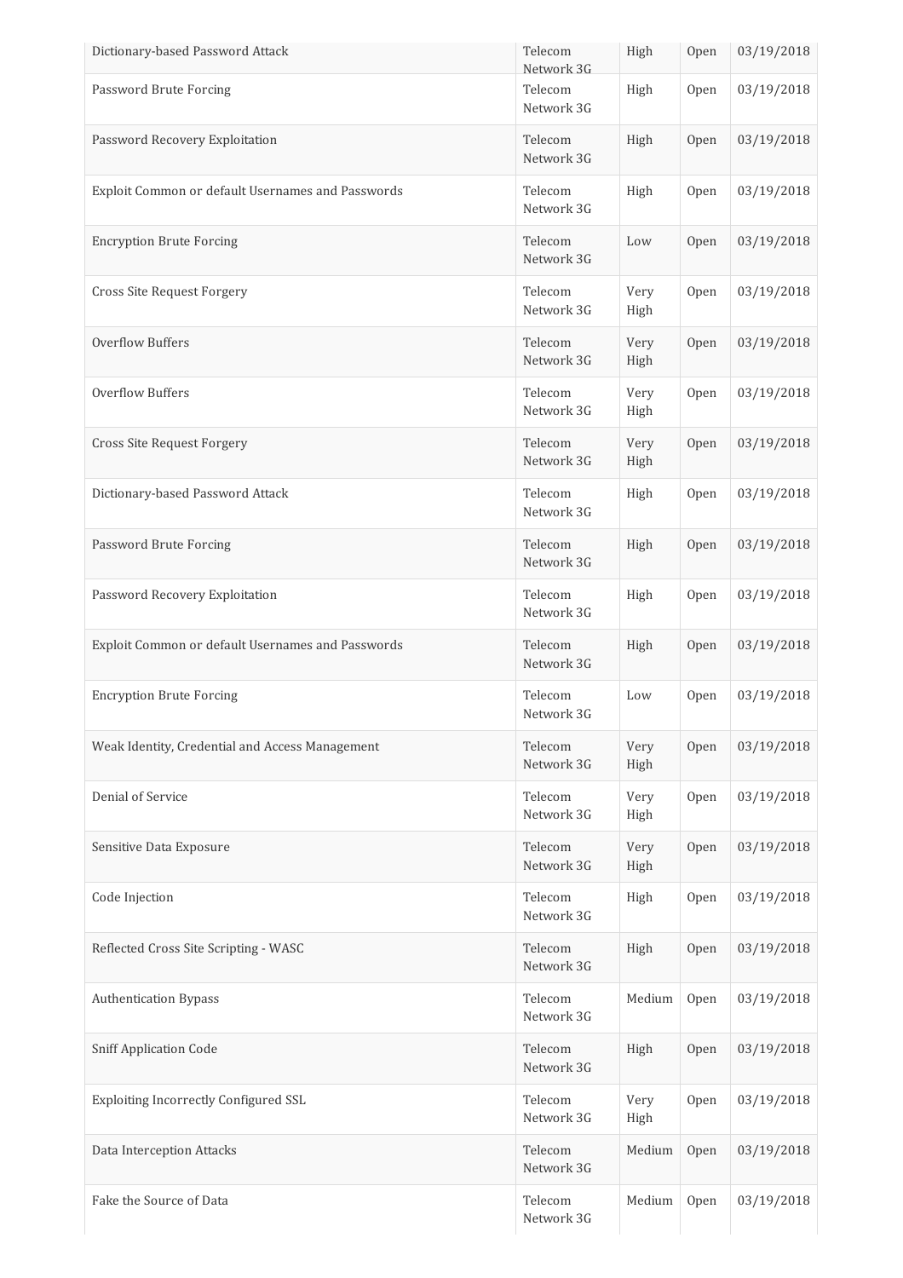| Dictionary-based Password Attack                  | Telecom<br>Network 3G | High         | Open | 03/19/2018 |
|---------------------------------------------------|-----------------------|--------------|------|------------|
| Password Brute Forcing                            | Telecom<br>Network 3G | High         | Open | 03/19/2018 |
| Password Recovery Exploitation                    | Telecom<br>Network 3G | High         | Open | 03/19/2018 |
| Exploit Common or default Usernames and Passwords | Telecom<br>Network 3G | High         | Open | 03/19/2018 |
| <b>Encryption Brute Forcing</b>                   | Telecom<br>Network 3G | Low          | Open | 03/19/2018 |
| Cross Site Request Forgery                        | Telecom<br>Network 3G | Very<br>High | Open | 03/19/2018 |
| <b>Overflow Buffers</b>                           | Telecom<br>Network 3G | Very<br>High | Open | 03/19/2018 |
| Overflow Buffers                                  | Telecom<br>Network 3G | Very<br>High | Open | 03/19/2018 |
| Cross Site Request Forgery                        | Telecom<br>Network 3G | Very<br>High | Open | 03/19/2018 |
| Dictionary-based Password Attack                  | Telecom<br>Network 3G | High         | Open | 03/19/2018 |
| Password Brute Forcing                            | Telecom<br>Network 3G | High         | Open | 03/19/2018 |
| Password Recovery Exploitation                    | Telecom<br>Network 3G | High         | Open | 03/19/2018 |
| Exploit Common or default Usernames and Passwords | Telecom<br>Network 3G | High         | Open | 03/19/2018 |
| <b>Encryption Brute Forcing</b>                   | Telecom<br>Network 3G | Low          | Open | 03/19/2018 |
| Weak Identity, Credential and Access Management   | Telecom<br>Network 3G | Very<br>High | Open | 03/19/2018 |
| Denial of Service                                 | Telecom<br>Network 3G | Very<br>High | Open | 03/19/2018 |
| Sensitive Data Exposure                           | Telecom<br>Network 3G | Very<br>High | Open | 03/19/2018 |
| Code Injection                                    | Telecom<br>Network 3G | High         | Open | 03/19/2018 |
| Reflected Cross Site Scripting - WASC             | Telecom<br>Network 3G | High         | Open | 03/19/2018 |
| <b>Authentication Bypass</b>                      | Telecom<br>Network 3G | Medium       | Open | 03/19/2018 |
| <b>Sniff Application Code</b>                     | Telecom<br>Network 3G | High         | Open | 03/19/2018 |
| Exploiting Incorrectly Configured SSL             | Telecom<br>Network 3G | Very<br>High | Open | 03/19/2018 |
| Data Interception Attacks                         | Telecom<br>Network 3G | Medium       | Open | 03/19/2018 |
| Fake the Source of Data                           | Telecom<br>Network 3G | Medium       | Open | 03/19/2018 |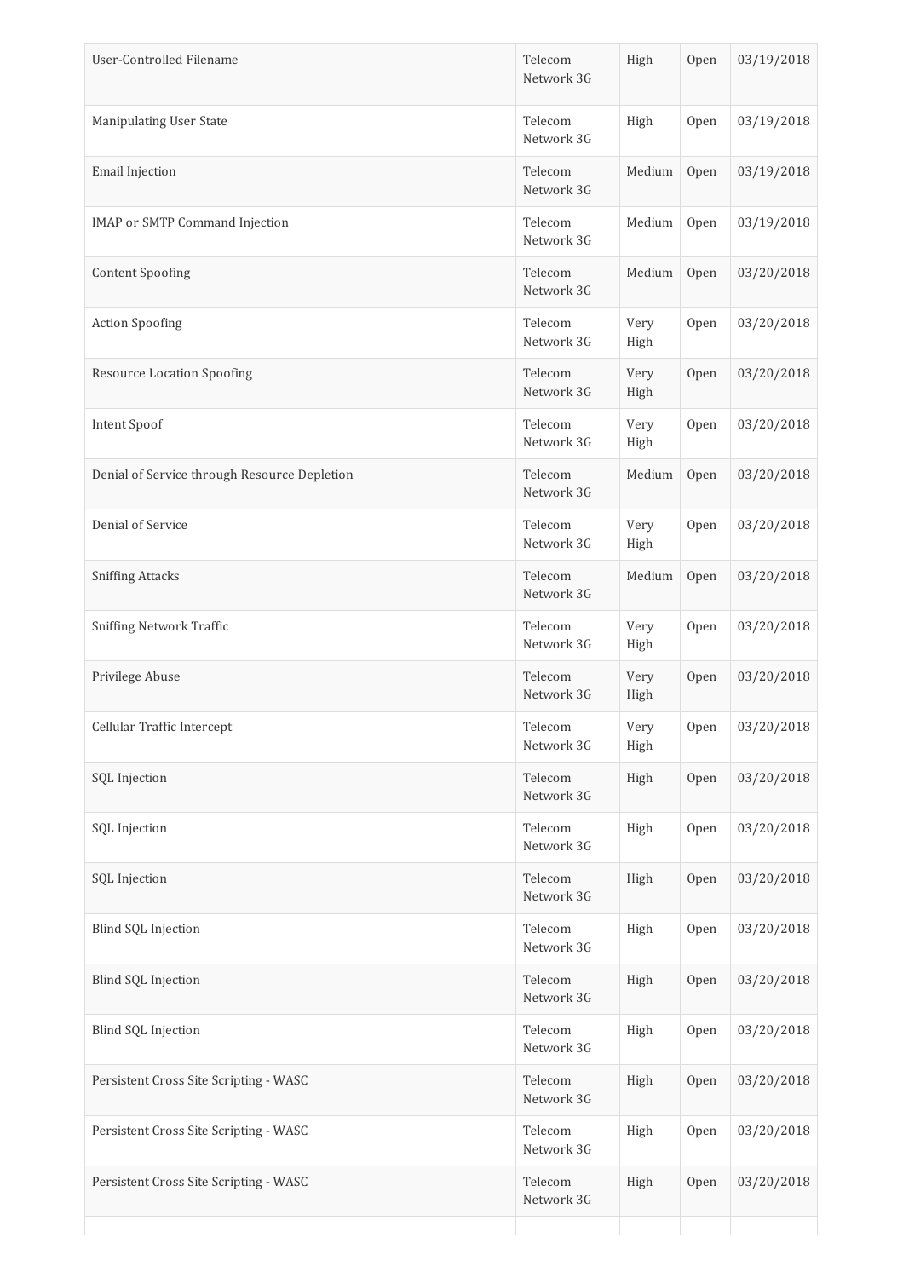| User-Controlled Filename                     | Telecom<br>Network 3G | High         | Open | 03/19/2018 |
|----------------------------------------------|-----------------------|--------------|------|------------|
| Manipulating User State                      | Telecom<br>Network 3G | High         | Open | 03/19/2018 |
| Email Injection                              | Telecom<br>Network 3G | Medium       | Open | 03/19/2018 |
| <b>IMAP</b> or SMTP Command Injection        | Telecom<br>Network 3G | Medium       | Open | 03/19/2018 |
| <b>Content Spoofing</b>                      | Telecom<br>Network 3G | Medium       | Open | 03/20/2018 |
| <b>Action Spoofing</b>                       | Telecom<br>Network 3G | Very<br>High | Open | 03/20/2018 |
| <b>Resource Location Spoofing</b>            | Telecom<br>Network 3G | Very<br>High | Open | 03/20/2018 |
| Intent Spoof                                 | Telecom<br>Network 3G | Very<br>High | Open | 03/20/2018 |
| Denial of Service through Resource Depletion | Telecom<br>Network 3G | Medium       | Open | 03/20/2018 |
| Denial of Service                            | Telecom<br>Network 3G | Very<br>High | Open | 03/20/2018 |
| <b>Sniffing Attacks</b>                      | Telecom<br>Network 3G | Medium       | Open | 03/20/2018 |
| <b>Sniffing Network Traffic</b>              | Telecom<br>Network 3G | Very<br>High | Open | 03/20/2018 |
| Privilege Abuse                              | Telecom<br>Network 3G | Very<br>High | Open | 03/20/2018 |
| Cellular Traffic Intercept                   | Telecom<br>Network 3G | Very<br>High | Open | 03/20/2018 |
| SQL Injection                                | Telecom<br>Network 3G | High         | Open | 03/20/2018 |
| SQL Injection                                | Telecom<br>Network 3G | High         | Open | 03/20/2018 |
| SQL Injection                                | Telecom<br>Network 3G | High         | Open | 03/20/2018 |
| Blind SQL Injection                          | Telecom<br>Network 3G | High         | Open | 03/20/2018 |
| Blind SQL Injection                          | Telecom<br>Network 3G | High         | Open | 03/20/2018 |
| Blind SQL Injection                          | Telecom<br>Network 3G | High         | Open | 03/20/2018 |
| Persistent Cross Site Scripting - WASC       | Telecom<br>Network 3G | High         | Open | 03/20/2018 |
| Persistent Cross Site Scripting - WASC       | Telecom<br>Network 3G | High         | Open | 03/20/2018 |
| Persistent Cross Site Scripting - WASC       | Telecom<br>Network 3G | High         | Open | 03/20/2018 |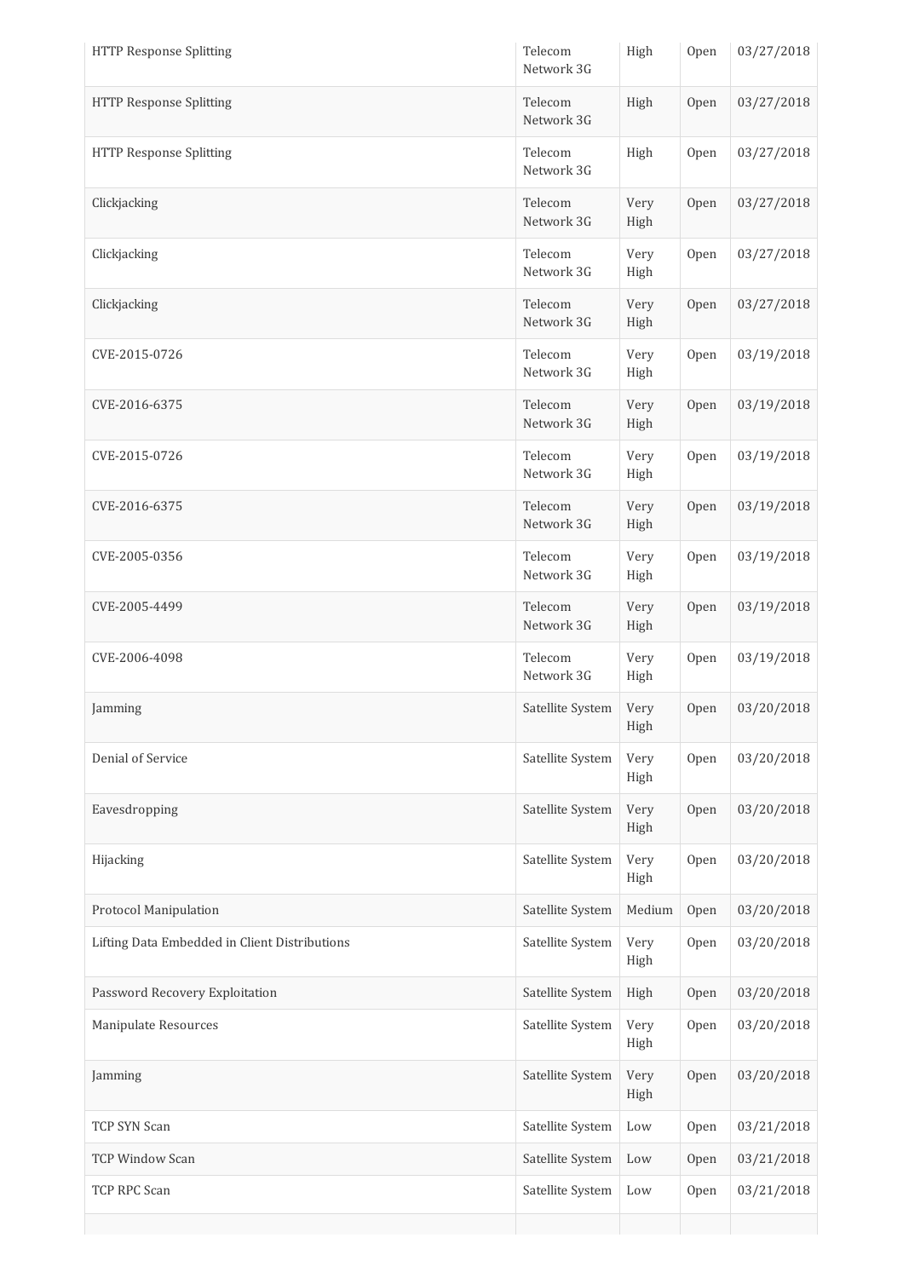| <b>HTTP Response Splitting</b>                | Telecom<br>Network 3G | High         | Open | 03/27/2018 |
|-----------------------------------------------|-----------------------|--------------|------|------------|
| <b>HTTP Response Splitting</b>                | Telecom<br>Network 3G | High         | Open | 03/27/2018 |
| <b>HTTP Response Splitting</b>                | Telecom<br>Network 3G | High         | Open | 03/27/2018 |
| Clickjacking                                  | Telecom<br>Network 3G | Very<br>High | Open | 03/27/2018 |
| Clickjacking                                  | Telecom<br>Network 3G | Very<br>High | Open | 03/27/2018 |
| Clickjacking                                  | Telecom<br>Network 3G | Very<br>High | Open | 03/27/2018 |
| CVE-2015-0726                                 | Telecom<br>Network 3G | Very<br>High | Open | 03/19/2018 |
| CVE-2016-6375                                 | Telecom<br>Network 3G | Very<br>High | Open | 03/19/2018 |
| CVE-2015-0726                                 | Telecom<br>Network 3G | Very<br>High | Open | 03/19/2018 |
| CVE-2016-6375                                 | Telecom<br>Network 3G | Very<br>High | Open | 03/19/2018 |
| CVE-2005-0356                                 | Telecom<br>Network 3G | Very<br>High | Open | 03/19/2018 |
| CVE-2005-4499                                 | Telecom<br>Network 3G | Very<br>High | Open | 03/19/2018 |
| CVE-2006-4098                                 | Telecom<br>Network 3G | Very<br>High | Open | 03/19/2018 |
| Jamming                                       | Satellite System      | Very<br>High | Open | 03/20/2018 |
| Denial of Service                             | Satellite System      | Very<br>High | Open | 03/20/2018 |
| Eavesdropping                                 | Satellite System      | Very<br>High | Open | 03/20/2018 |
| Hijacking                                     | Satellite System      | Very<br>High | Open | 03/20/2018 |
| Protocol Manipulation                         | Satellite System      | Medium       | Open | 03/20/2018 |
| Lifting Data Embedded in Client Distributions | Satellite System      | Very<br>High | Open | 03/20/2018 |
| Password Recovery Exploitation                | Satellite System      | High         | Open | 03/20/2018 |
| Manipulate Resources                          | Satellite System      | Very<br>High | Open | 03/20/2018 |
| Jamming                                       | Satellite System      | Very<br>High | Open | 03/20/2018 |
| TCP SYN Scan                                  | Satellite System      | Low          | Open | 03/21/2018 |
| <b>TCP Window Scan</b>                        | Satellite System      | Low          | Open | 03/21/2018 |
| TCP RPC Scan                                  | Satellite System      | Low          | Open | 03/21/2018 |
|                                               |                       |              |      |            |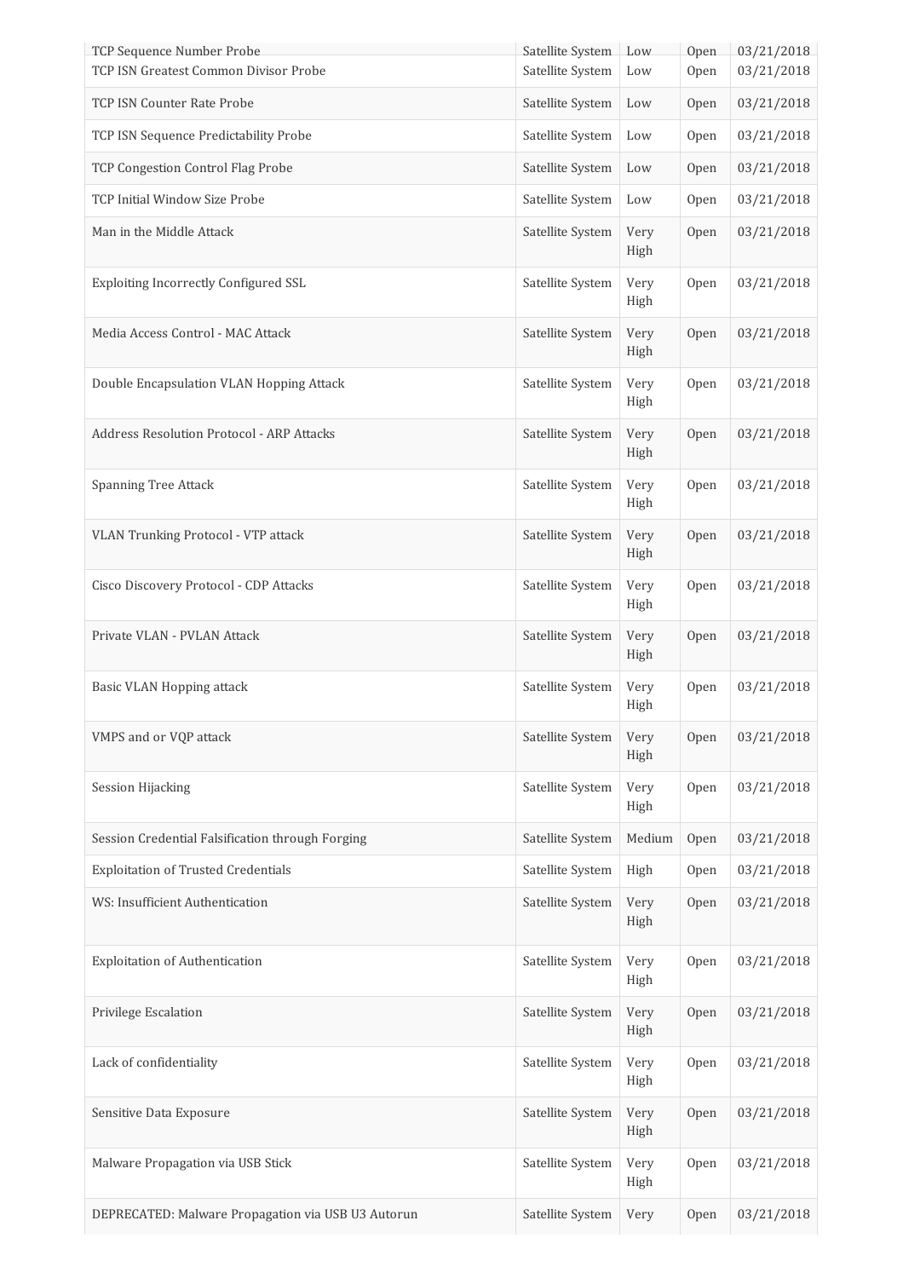| TCP Sequence Number Probe<br>TCP ISN Greatest Common Divisor Probe | Satellite System Low<br>Satellite System |              | Open | 03/21/2018<br>03/21/2018 |
|--------------------------------------------------------------------|------------------------------------------|--------------|------|--------------------------|
|                                                                    |                                          | Low          | Open |                          |
| TCP ISN Counter Rate Probe                                         | Satellite System                         | Low          | Open | 03/21/2018               |
| TCP ISN Sequence Predictability Probe                              | Satellite System                         | Low          | Open | 03/21/2018               |
| TCP Congestion Control Flag Probe                                  | Satellite System                         | Low          | Open | 03/21/2018               |
| TCP Initial Window Size Probe                                      | Satellite System                         | Low          | Open | 03/21/2018               |
| Man in the Middle Attack                                           | Satellite System                         | Very<br>High | Open | 03/21/2018               |
| Exploiting Incorrectly Configured SSL                              | Satellite System                         | Very<br>High | Open | 03/21/2018               |
| Media Access Control - MAC Attack                                  | Satellite System                         | Very<br>High | Open | 03/21/2018               |
| Double Encapsulation VLAN Hopping Attack                           | Satellite System                         | Very<br>High | Open | 03/21/2018               |
| Address Resolution Protocol - ARP Attacks                          | Satellite System                         | Very<br>High | Open | 03/21/2018               |
| <b>Spanning Tree Attack</b>                                        | Satellite System                         | Very<br>High | Open | 03/21/2018               |
| VLAN Trunking Protocol - VTP attack                                | Satellite System                         | Very<br>High | Open | 03/21/2018               |
| Cisco Discovery Protocol - CDP Attacks                             | Satellite System                         | Very<br>High | Open | 03/21/2018               |
| Private VLAN - PVLAN Attack                                        | Satellite System                         | Very<br>High | Open | 03/21/2018               |
| Basic VLAN Hopping attack                                          | Satellite System                         | Very<br>High | Open | 03/21/2018               |
| VMPS and or VQP attack                                             | Satellite System                         | Very<br>High | Open | 03/21/2018               |
| <b>Session Hijacking</b>                                           | Satellite System                         | Very<br>High | Open | 03/21/2018               |
| Session Credential Falsification through Forging                   | Satellite System                         | Medium       | Open | 03/21/2018               |
| <b>Exploitation of Trusted Credentials</b>                         | Satellite System                         | High         | Open | 03/21/2018               |
| WS: Insufficient Authentication                                    | Satellite System                         | Very<br>High | Open | 03/21/2018               |
| Exploitation of Authentication                                     | Satellite System                         | Very<br>High | Open | 03/21/2018               |
| Privilege Escalation                                               | Satellite System                         | Very<br>High | Open | 03/21/2018               |
| Lack of confidentiality                                            | Satellite System                         | Very<br>High | Open | 03/21/2018               |
| Sensitive Data Exposure                                            | Satellite System                         | Very<br>High | Open | 03/21/2018               |
| Malware Propagation via USB Stick                                  | Satellite System                         | Very<br>High | Open | 03/21/2018               |
| DEPRECATED: Malware Propagation via USB U3 Autorun                 | Satellite System                         | Very         | Open | 03/21/2018               |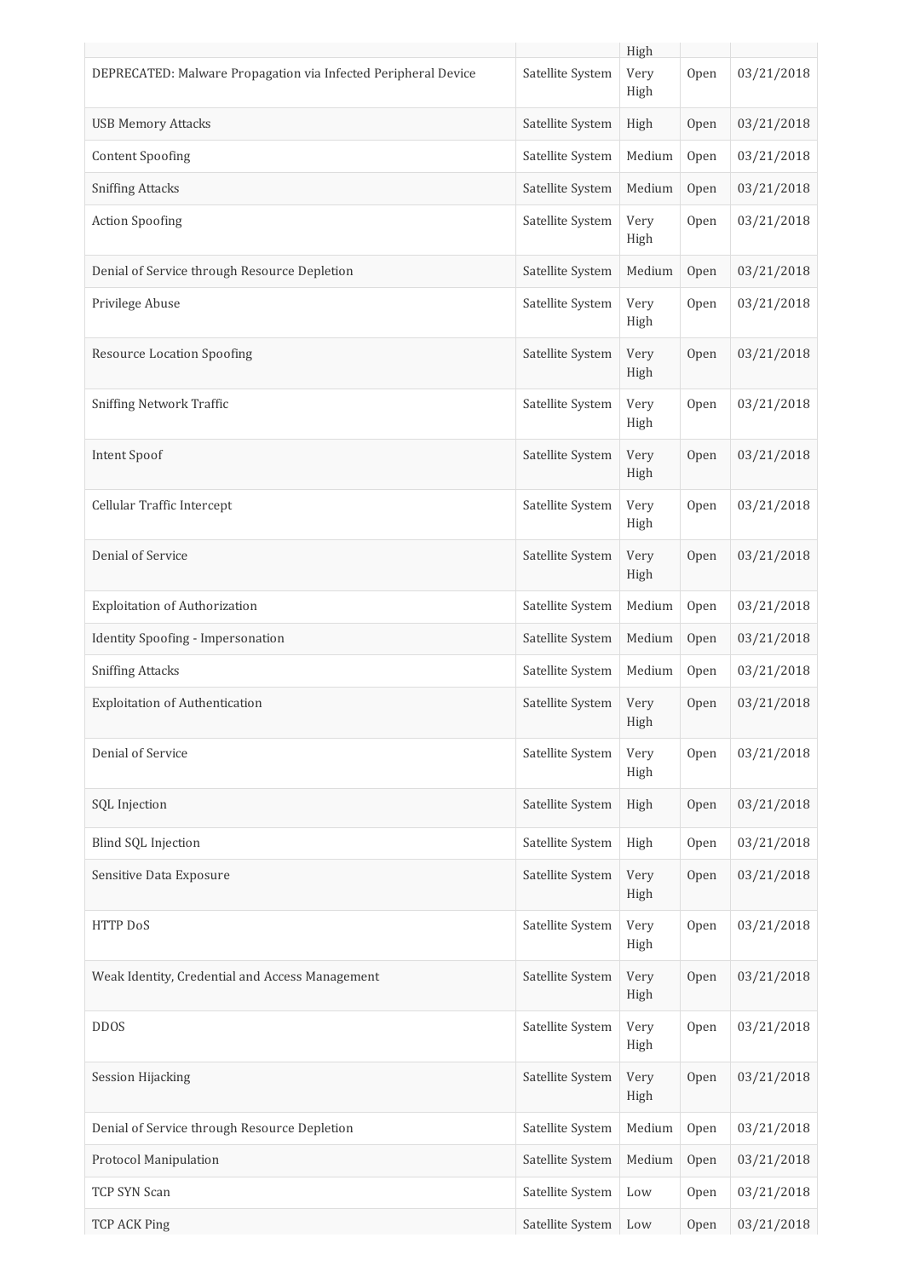|                                                                |                  | High         |      |            |
|----------------------------------------------------------------|------------------|--------------|------|------------|
| DEPRECATED: Malware Propagation via Infected Peripheral Device | Satellite System | Very<br>High | Open | 03/21/2018 |
| <b>USB Memory Attacks</b>                                      | Satellite System | High         | Open | 03/21/2018 |
| <b>Content Spoofing</b>                                        | Satellite System | Medium       | Open | 03/21/2018 |
| <b>Sniffing Attacks</b>                                        | Satellite System | Medium       | Open | 03/21/2018 |
| <b>Action Spoofing</b>                                         | Satellite System | Very<br>High | Open | 03/21/2018 |
| Denial of Service through Resource Depletion                   | Satellite System | Medium       | Open | 03/21/2018 |
| Privilege Abuse                                                | Satellite System | Very<br>High | Open | 03/21/2018 |
| <b>Resource Location Spoofing</b>                              | Satellite System | Very<br>High | Open | 03/21/2018 |
| <b>Sniffing Network Traffic</b>                                | Satellite System | Very<br>High | Open | 03/21/2018 |
| Intent Spoof                                                   | Satellite System | Very<br>High | Open | 03/21/2018 |
| Cellular Traffic Intercept                                     | Satellite System | Very<br>High | Open | 03/21/2018 |
| Denial of Service                                              | Satellite System | Very<br>High | Open | 03/21/2018 |
| Exploitation of Authorization                                  | Satellite System | Medium       | Open | 03/21/2018 |
| Identity Spoofing - Impersonation                              | Satellite System | Medium       | Open | 03/21/2018 |
| <b>Sniffing Attacks</b>                                        | Satellite System | Medium       | Open | 03/21/2018 |
| <b>Exploitation of Authentication</b>                          | Satellite System | Very<br>High | Open | 03/21/2018 |
| Denial of Service                                              | Satellite System | Very<br>High | Open | 03/21/2018 |
| SQL Injection                                                  | Satellite System | High         | Open | 03/21/2018 |
| Blind SQL Injection                                            | Satellite System | High         | Open | 03/21/2018 |
| Sensitive Data Exposure                                        | Satellite System | Very<br>High | Open | 03/21/2018 |
| <b>HTTP DoS</b>                                                | Satellite System | Very<br>High | Open | 03/21/2018 |
| Weak Identity, Credential and Access Management                | Satellite System | Very<br>High | Open | 03/21/2018 |
| <b>DDOS</b>                                                    | Satellite System | Very<br>High | Open | 03/21/2018 |
| <b>Session Hijacking</b>                                       | Satellite System | Very<br>High | Open | 03/21/2018 |
| Denial of Service through Resource Depletion                   | Satellite System | Medium       | Open | 03/21/2018 |
| Protocol Manipulation                                          | Satellite System | Medium       | Open | 03/21/2018 |
| TCP SYN Scan                                                   | Satellite System | Low          | Open | 03/21/2018 |
| <b>TCP ACK Ping</b>                                            | Satellite System | Low          | Open | 03/21/2018 |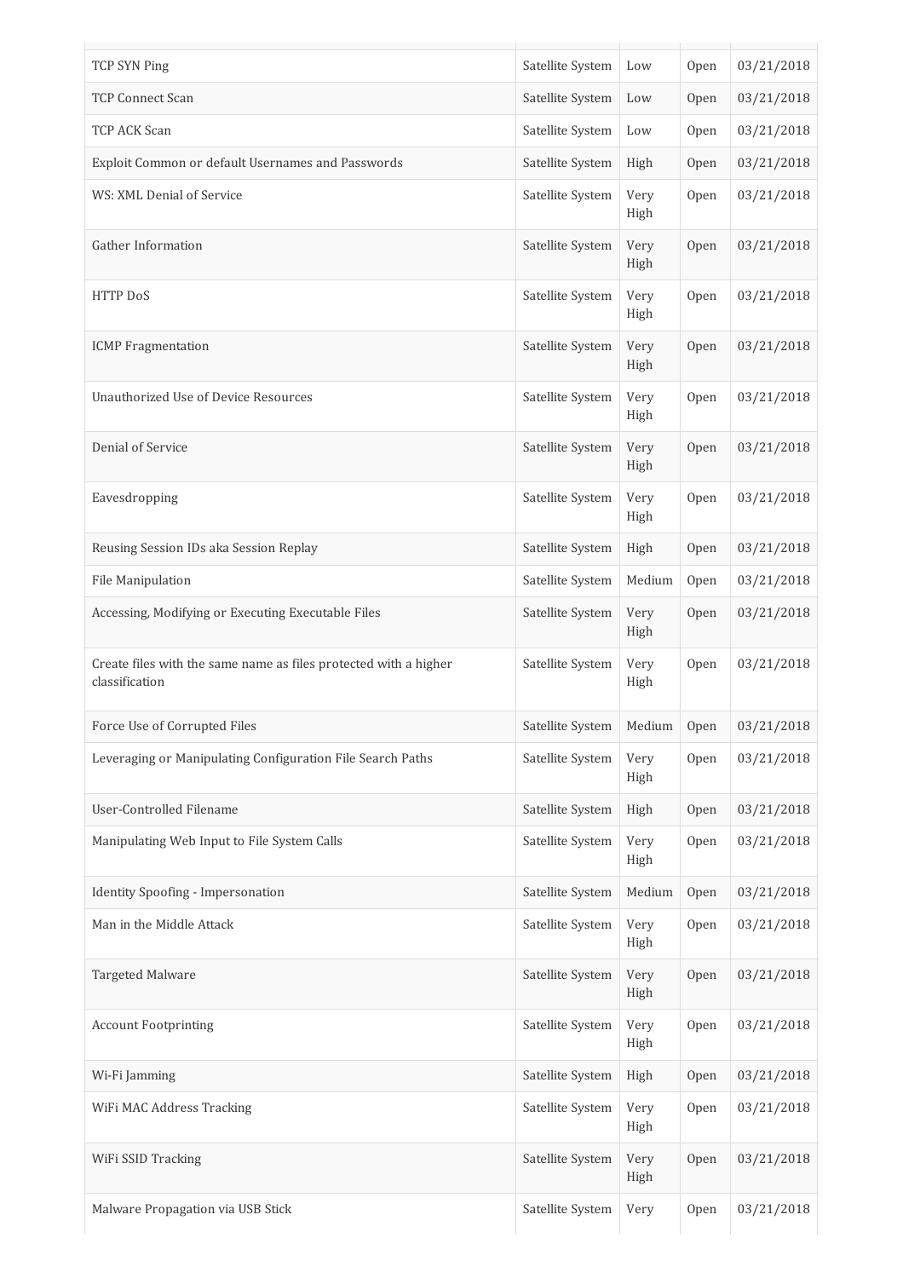| TCP SYN Ping                                                                       | Satellite System | Low          | Open | 03/21/2018 |
|------------------------------------------------------------------------------------|------------------|--------------|------|------------|
| <b>TCP Connect Scan</b>                                                            | Satellite System | Low          | Open | 03/21/2018 |
| TCP ACK Scan                                                                       | Satellite System | Low          | Open | 03/21/2018 |
| Exploit Common or default Usernames and Passwords                                  | Satellite System | High         | Open | 03/21/2018 |
| WS: XML Denial of Service                                                          | Satellite System | Very<br>High | Open | 03/21/2018 |
| Gather Information                                                                 | Satellite System | Very<br>High | Open | 03/21/2018 |
| HTTP DoS                                                                           | Satellite System | Very<br>High | Open | 03/21/2018 |
| <b>ICMP</b> Fragmentation                                                          | Satellite System | Very<br>High | Open | 03/21/2018 |
| Unauthorized Use of Device Resources                                               | Satellite System | Very<br>High | Open | 03/21/2018 |
| Denial of Service                                                                  | Satellite System | Very<br>High | Open | 03/21/2018 |
| Eavesdropping                                                                      | Satellite System | Very<br>High | Open | 03/21/2018 |
| Reusing Session IDs aka Session Replay                                             | Satellite System | High         | Open | 03/21/2018 |
| File Manipulation                                                                  | Satellite System | Medium       | Open | 03/21/2018 |
| Accessing, Modifying or Executing Executable Files                                 | Satellite System | Very<br>High | Open | 03/21/2018 |
| Create files with the same name as files protected with a higher<br>classification | Satellite System | Very<br>High | Open | 03/21/2018 |
| Force Use of Corrupted Files                                                       | Satellite System | Medium       | Open | 03/21/2018 |
| Leveraging or Manipulating Configuration File Search Paths                         | Satellite System | Very<br>High | Open | 03/21/2018 |
| User-Controlled Filename                                                           | Satellite System | High         | Open | 03/21/2018 |
| Manipulating Web Input to File System Calls                                        | Satellite System | Very<br>High | Open | 03/21/2018 |
| Identity Spoofing - Impersonation                                                  | Satellite System | Medium       | Open | 03/21/2018 |
| Man in the Middle Attack                                                           | Satellite System | Very<br>High | Open | 03/21/2018 |
| Targeted Malware                                                                   | Satellite System | Very<br>High | Open | 03/21/2018 |
| <b>Account Footprinting</b>                                                        | Satellite System | Very<br>High | Open | 03/21/2018 |
| Wi-Fi Jamming                                                                      | Satellite System | High         | Open | 03/21/2018 |
| WiFi MAC Address Tracking                                                          | Satellite System | Very<br>High | Open | 03/21/2018 |
| WiFi SSID Tracking                                                                 | Satellite System | Very<br>High | Open | 03/21/2018 |
| Malware Propagation via USB Stick                                                  | Satellite System | Very         | Open | 03/21/2018 |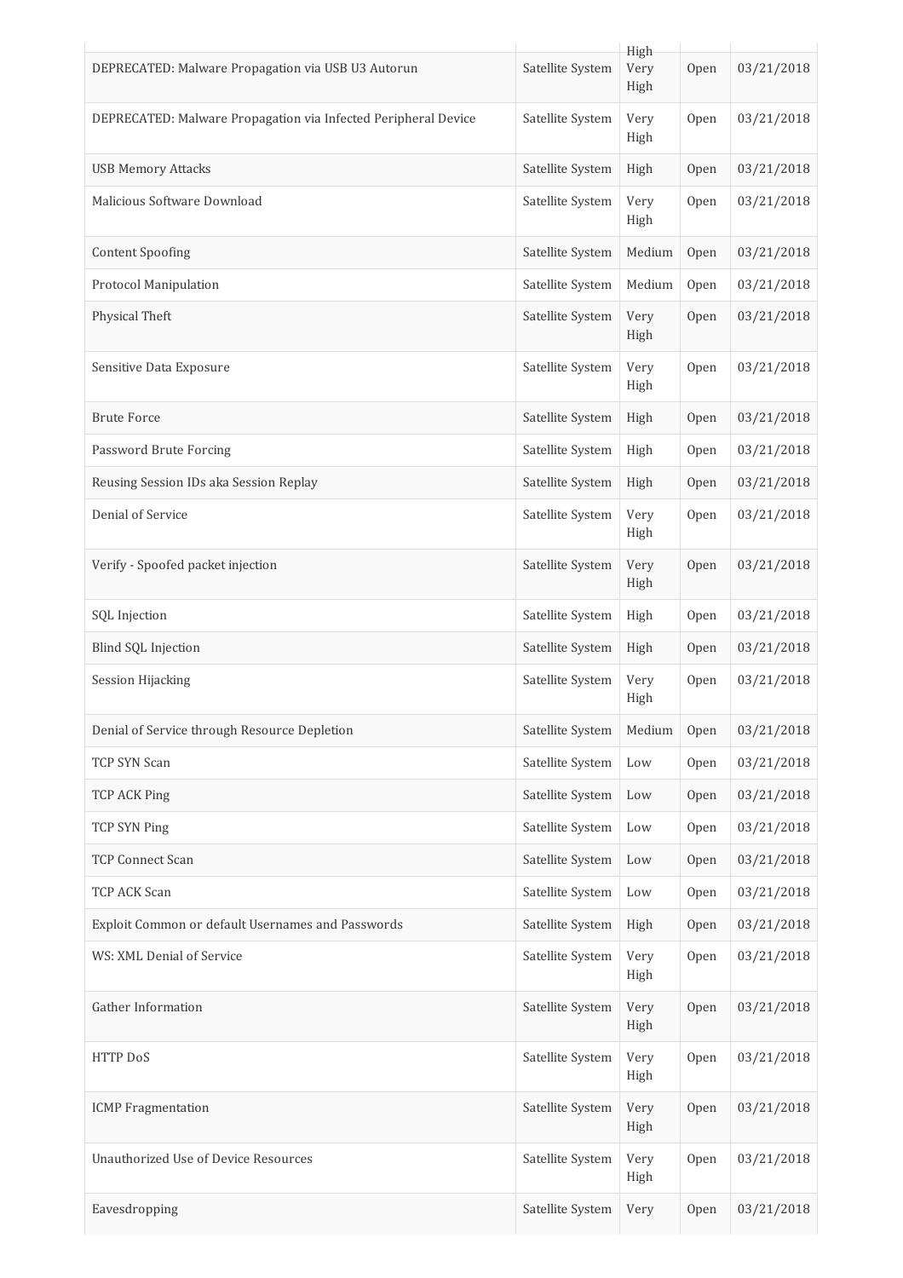|                                                                |                  | High         |      |            |
|----------------------------------------------------------------|------------------|--------------|------|------------|
| DEPRECATED: Malware Propagation via USB U3 Autorun             | Satellite System | Very<br>High | Open | 03/21/2018 |
| DEPRECATED: Malware Propagation via Infected Peripheral Device | Satellite System | Very<br>High | Open | 03/21/2018 |
| <b>USB Memory Attacks</b>                                      | Satellite System | High         | Open | 03/21/2018 |
| Malicious Software Download                                    | Satellite System | Very<br>High | Open | 03/21/2018 |
| <b>Content Spoofing</b>                                        | Satellite System | Medium       | Open | 03/21/2018 |
| Protocol Manipulation                                          | Satellite System | Medium       | Open | 03/21/2018 |
| Physical Theft                                                 | Satellite System | Very<br>High | Open | 03/21/2018 |
| Sensitive Data Exposure                                        | Satellite System | Very<br>High | Open | 03/21/2018 |
| <b>Brute Force</b>                                             | Satellite System | High         | Open | 03/21/2018 |
| Password Brute Forcing                                         | Satellite System | High         | Open | 03/21/2018 |
| Reusing Session IDs aka Session Replay                         | Satellite System | High         | Open | 03/21/2018 |
| Denial of Service                                              | Satellite System | Very<br>High | Open | 03/21/2018 |
| Verify - Spoofed packet injection                              | Satellite System | Very<br>High | Open | 03/21/2018 |
| SQL Injection                                                  | Satellite System | High         | Open | 03/21/2018 |
| Blind SQL Injection                                            | Satellite System | High         | Open | 03/21/2018 |
| <b>Session Hijacking</b>                                       | Satellite System | Very<br>High | Open | 03/21/2018 |
| Denial of Service through Resource Depletion                   | Satellite System | Medium       | Open | 03/21/2018 |
| TCP SYN Scan                                                   | Satellite System | Low          | Open | 03/21/2018 |
| <b>TCP ACK Ping</b>                                            | Satellite System | Low          | Open | 03/21/2018 |
| TCP SYN Ping                                                   | Satellite System | Low          | Open | 03/21/2018 |
| <b>TCP Connect Scan</b>                                        | Satellite System | Low          | Open | 03/21/2018 |
| TCP ACK Scan                                                   | Satellite System | Low          | Open | 03/21/2018 |
| Exploit Common or default Usernames and Passwords              | Satellite System | High         | Open | 03/21/2018 |
| WS: XML Denial of Service                                      | Satellite System | Very<br>High | Open | 03/21/2018 |
| Gather Information                                             | Satellite System | Very<br>High | Open | 03/21/2018 |
| HTTP DoS                                                       | Satellite System | Very<br>High | Open | 03/21/2018 |
| <b>ICMP</b> Fragmentation                                      | Satellite System | Very<br>High | Open | 03/21/2018 |
| Unauthorized Use of Device Resources                           | Satellite System | Very<br>High | Open | 03/21/2018 |
| Eavesdropping                                                  | Satellite System | Very         | Open | 03/21/2018 |